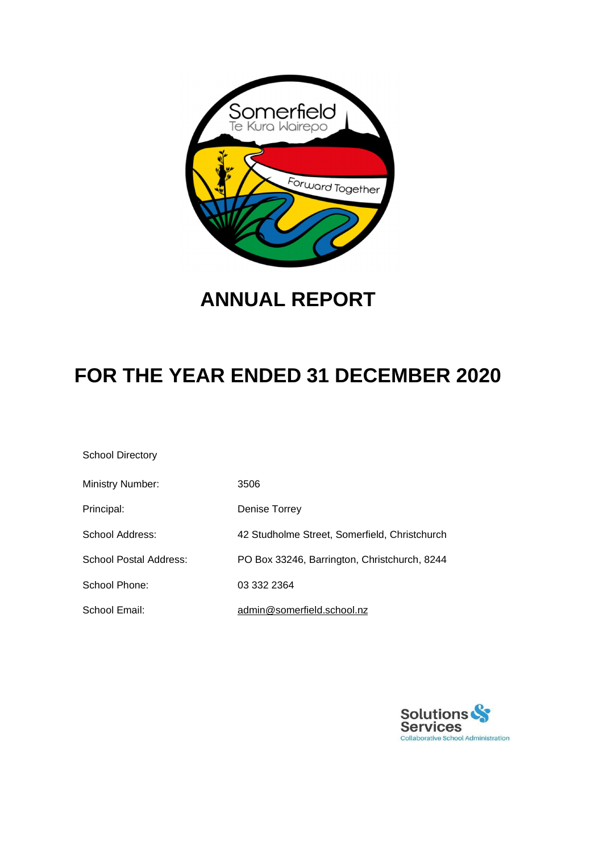

# **ANNUAL REPORT**

# **FOR THE YEAR ENDED 31 DECEMBER 2020**

School Directory

| <b>Ministry Number:</b>       | 3506                                          |
|-------------------------------|-----------------------------------------------|
| Principal:                    | Denise Torrey                                 |
| School Address:               | 42 Studholme Street, Somerfield, Christchurch |
| <b>School Postal Address:</b> | PO Box 33246, Barrington, Christchurch, 8244  |
| School Phone:                 | 03 332 2364                                   |
| School Email:                 | admin@somerfield.school.nz                    |

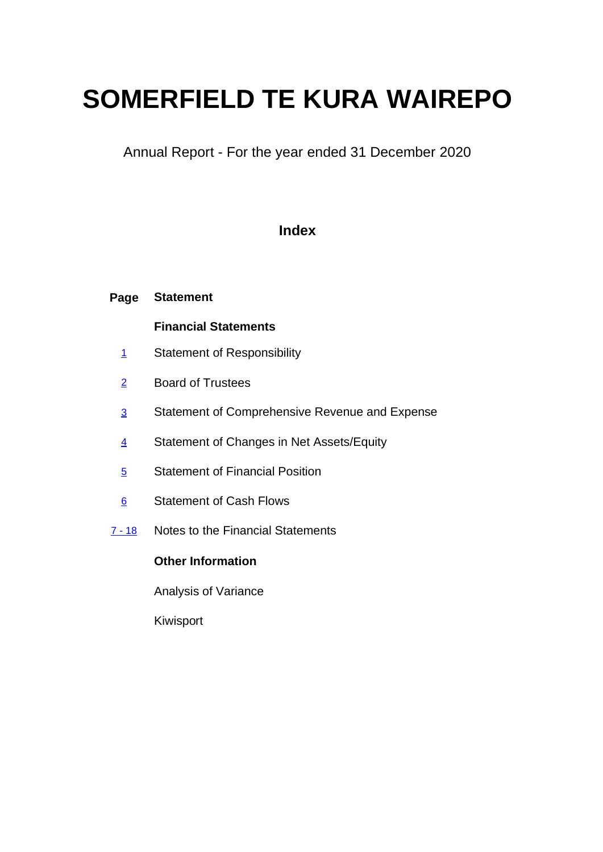# **SOMERFIELD TE KURA WAIREPO**

Annual Report - For the year ended 31 December 2020

### **Index**

| Page            | <b>Statement</b>                               |
|-----------------|------------------------------------------------|
|                 | <b>Financial Statements</b>                    |
| $\mathbf{1}$    | <b>Statement of Responsibility</b>             |
| $\overline{2}$  | <b>Board of Trustees</b>                       |
| $\overline{3}$  | Statement of Comprehensive Revenue and Expense |
| $\overline{4}$  | Statement of Changes in Net Assets/Equity      |
| $\overline{5}$  | <b>Statement of Financial Position</b>         |
| $6\overline{6}$ | <b>Statement of Cash Flows</b>                 |
| $7 - 18$        | Notes to the Financial Statements              |
|                 | <b>Other Information</b>                       |
|                 |                                                |

Analysis of Variance

Kiwisport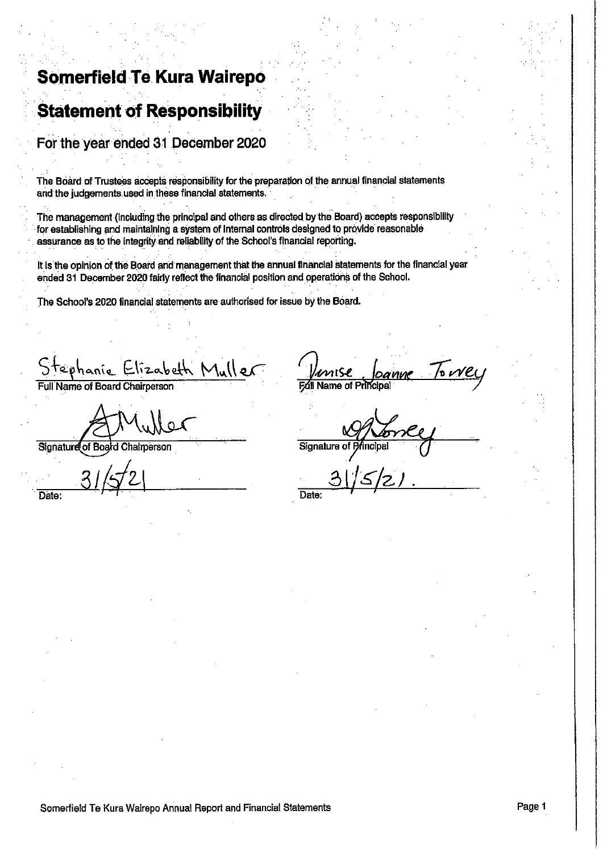# **Somerfield Te Kura Wairepo**

# **Statement of Responsibility**

For the year ended 31 December 2020

The Board of Trustees accepts responsibility for the preparation of the annual financial statements and the judgements used in these financial statements.

The management (including the principal and others as directed by the Board) accepts responsibility for establishing and maintaining a system of internal controls designed to provide reasonable assurance as to the integrity and reliability of the School's financial reporting.

It is the opinion of the Board and management that the annual financial statements for the financial year ended 31 December 2020 fairly reflect the financial position and operations of the School.

The School's 2020 financial statements are authorised for issue by the Board.

h Muller  $52a$ Full Name of Board Chairperson

Signature of Board Chairperson

Date:

Name of P

Signature

**Date** 

Somerfield Te Kura Wairepo Annual Report and Financial Statements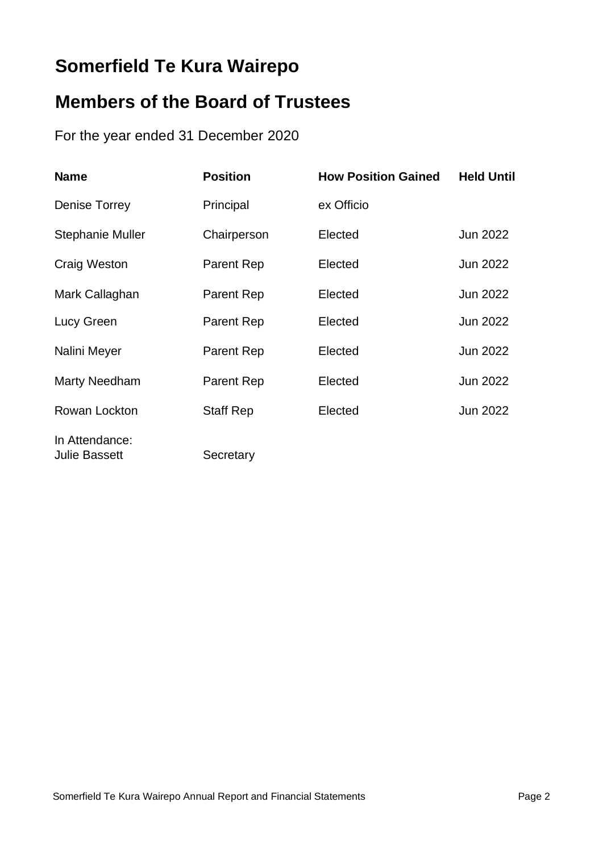# **Somerfield Te Kura Wairepo**

# **Members of the Board of Trustees**

For the year ended 31 December 2020

| <b>Name</b>                            | <b>Position</b>  | <b>How Position Gained</b> | <b>Held Until</b> |
|----------------------------------------|------------------|----------------------------|-------------------|
| Denise Torrey                          | Principal        | ex Officio                 |                   |
| <b>Stephanie Muller</b>                | Chairperson      | Elected                    | Jun 2022          |
| Craig Weston                           | Parent Rep       | Elected                    | Jun 2022          |
| Mark Callaghan                         | Parent Rep       | Elected                    | <b>Jun 2022</b>   |
| Lucy Green                             | Parent Rep       | Elected                    | <b>Jun 2022</b>   |
| Nalini Meyer                           | Parent Rep       | Elected                    | <b>Jun 2022</b>   |
| <b>Marty Needham</b>                   | Parent Rep       | Elected                    | <b>Jun 2022</b>   |
| Rowan Lockton                          | <b>Staff Rep</b> | Elected                    | <b>Jun 2022</b>   |
| In Attendance:<br><b>Julie Bassett</b> | Secretary        |                            |                   |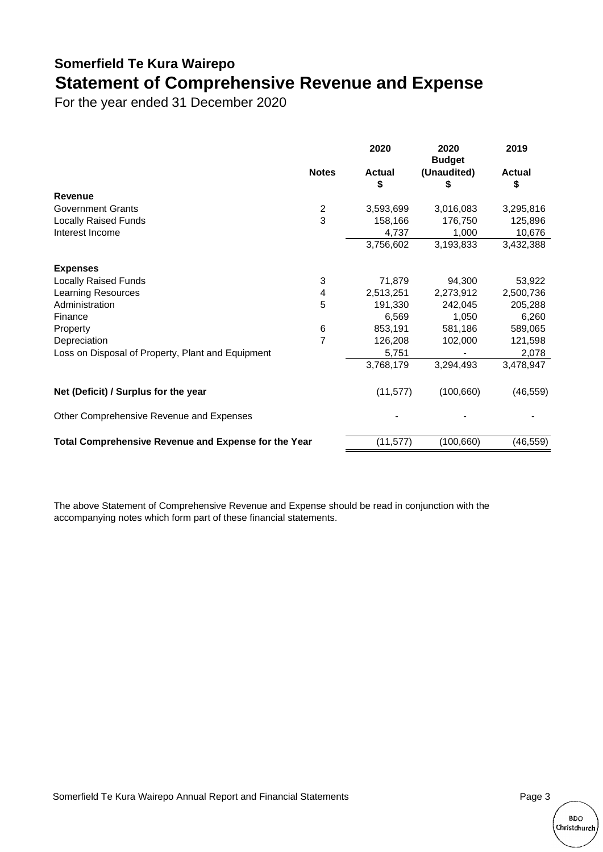## **Somerfield Te Kura Wairepo Statement of Comprehensive Revenue and Expense**

For the year ended 31 December 2020

|                                                      |                | 2020                | 2020<br><b>Budget</b> | 2019                |
|------------------------------------------------------|----------------|---------------------|-----------------------|---------------------|
|                                                      | <b>Notes</b>   | <b>Actual</b><br>\$ | (Unaudited)<br>\$     | <b>Actual</b><br>\$ |
| Revenue                                              |                |                     |                       |                     |
| <b>Government Grants</b>                             | $\overline{2}$ | 3,593,699           | 3,016,083             | 3,295,816           |
| <b>Locally Raised Funds</b>                          | 3              | 158,166             | 176,750               | 125,896             |
| Interest Income                                      |                | 4,737               | 1,000                 | 10,676              |
|                                                      |                | 3,756,602           | 3,193,833             | 3,432,388           |
| <b>Expenses</b>                                      |                |                     |                       |                     |
| <b>Locally Raised Funds</b>                          | 3              | 71,879              | 94,300                | 53,922              |
| <b>Learning Resources</b>                            | 4              | 2,513,251           | 2,273,912             | 2,500,736           |
| Administration                                       | 5              | 191,330             | 242,045               | 205,288             |
| Finance                                              |                | 6,569               | 1,050                 | 6,260               |
| Property                                             | 6              | 853,191             | 581,186               | 589,065             |
| Depreciation                                         | $\overline{7}$ | 126,208             | 102,000               | 121,598             |
| Loss on Disposal of Property, Plant and Equipment    |                | 5,751               |                       | 2,078               |
|                                                      |                | 3,768,179           | 3,294,493             | 3,478,947           |
| Net (Deficit) / Surplus for the year                 |                | (11, 577)           | (100, 660)            | (46, 559)           |
| Other Comprehensive Revenue and Expenses             |                |                     |                       |                     |
| Total Comprehensive Revenue and Expense for the Year |                | (11, 577)           | (100, 660)            | (46, 559)           |

The above Statement of Comprehensive Revenue and Expense should be read in conjunction with the accompanying notes which form part of these financial statements.

Somerfield Te Kura Wairepo Annual Report and Financial Statements **Page 3** Page 3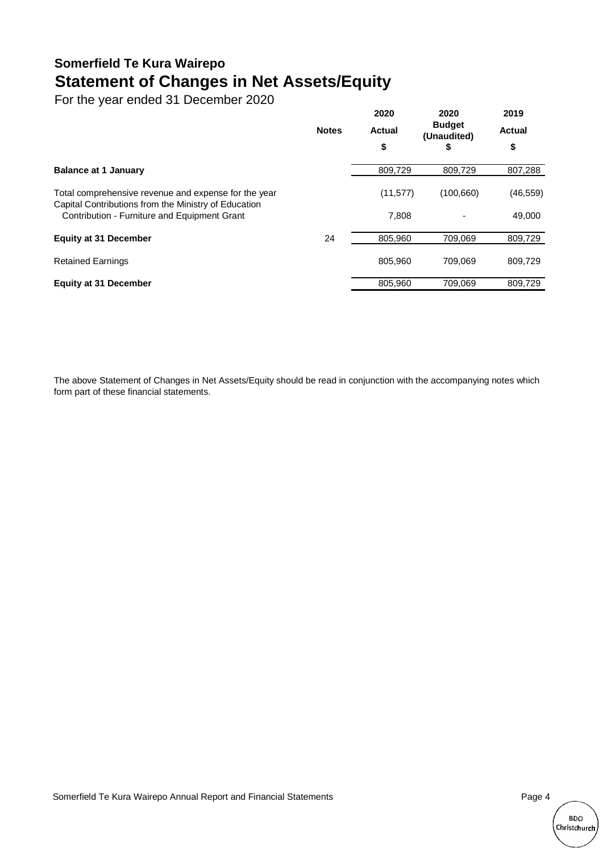## **Somerfield Te Kura Wairepo Statement of Changes in Net Assets/Equity**

For the year ended 31 December 2020

|                                                                                                              |              | 2020          | 2020<br><b>Budget</b><br>(Unaudited) | 2019<br><b>Actual</b> |
|--------------------------------------------------------------------------------------------------------------|--------------|---------------|--------------------------------------|-----------------------|
|                                                                                                              | <b>Notes</b> | <b>Actual</b> |                                      |                       |
|                                                                                                              |              | \$            | \$                                   | \$                    |
| <b>Balance at 1 January</b>                                                                                  |              | 809,729       | 809.729                              | 807,288               |
| Total comprehensive revenue and expense for the year<br>Capital Contributions from the Ministry of Education |              | (11, 577)     | (100, 660)                           | (46,559)              |
| Contribution - Furniture and Equipment Grant                                                                 |              | 7,808         |                                      | 49,000                |
| <b>Equity at 31 December</b>                                                                                 | 24           | 805.960       | 709.069                              | 809,729               |
| <b>Retained Earnings</b>                                                                                     |              | 805.960       | 709.069                              | 809,729               |
| <b>Equity at 31 December</b>                                                                                 |              | 805,960       | 709.069                              | 809.729               |

The above Statement of Changes in Net Assets/Equity should be read in conjunction with the accompanying notes which form part of these financial statements.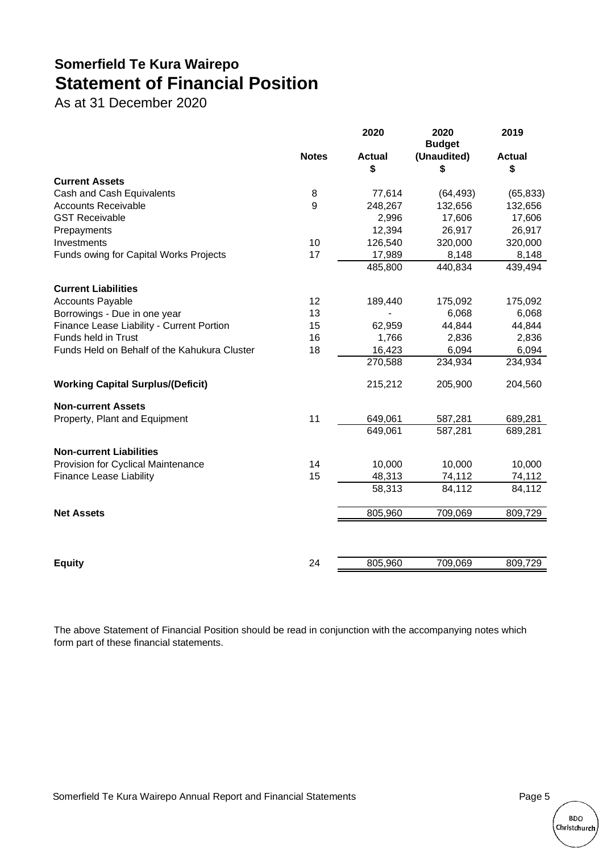# **Somerfield Te Kura Wairepo Statement of Financial Position**

As at 31 December 2020

|                                              |              | 2020                | 2020<br><b>Budget</b> | 2019                |
|----------------------------------------------|--------------|---------------------|-----------------------|---------------------|
|                                              | <b>Notes</b> | <b>Actual</b><br>\$ | (Unaudited)<br>\$     | <b>Actual</b><br>\$ |
| <b>Current Assets</b>                        |              |                     |                       |                     |
| Cash and Cash Equivalents                    | 8            | 77,614              | (64, 493)             | (65, 833)           |
| <b>Accounts Receivable</b>                   | 9            | 248,267             | 132,656               | 132,656             |
| <b>GST Receivable</b>                        |              | 2,996               | 17,606                | 17,606              |
| Prepayments                                  |              | 12,394              | 26,917                | 26,917              |
| Investments                                  | 10           | 126,540             | 320,000               | 320,000             |
| Funds owing for Capital Works Projects       | 17           | 17,989              | 8,148                 | 8,148               |
|                                              |              | 485,800             | 440,834               | 439,494             |
| <b>Current Liabilities</b>                   |              |                     |                       |                     |
| <b>Accounts Payable</b>                      | 12           | 189,440             | 175,092               | 175,092             |
| Borrowings - Due in one year                 | 13           |                     | 6,068                 | 6,068               |
| Finance Lease Liability - Current Portion    | 15           | 62,959              | 44,844                | 44,844              |
| Funds held in Trust                          | 16           | 1,766               | 2,836                 | 2,836               |
| Funds Held on Behalf of the Kahukura Cluster | 18           | 16,423              | 6,094                 | 6,094               |
|                                              |              | 270,588             | 234,934               | 234,934             |
| <b>Working Capital Surplus/(Deficit)</b>     |              | 215,212             | 205,900               | 204,560             |
| <b>Non-current Assets</b>                    |              |                     |                       |                     |
| Property, Plant and Equipment                | 11           | 649,061             | 587,281               | 689,281             |
|                                              |              | 649,061             | 587,281               | 689,281             |
| <b>Non-current Liabilities</b>               |              |                     |                       |                     |
| Provision for Cyclical Maintenance           | 14           | 10,000              | 10,000                | 10,000              |
| <b>Finance Lease Liability</b>               | 15           | 48,313              | 74,112                | 74,112              |
|                                              |              | 58,313              | 84,112                | 84,112              |
| <b>Net Assets</b>                            |              | 805,960             | 709,069               | 809,729             |
|                                              |              |                     |                       |                     |
| <b>Equity</b>                                | 24           | 805,960             | 709,069               | 809,729             |

The above Statement of Financial Position should be read in conjunction with the accompanying notes which form part of these financial statements.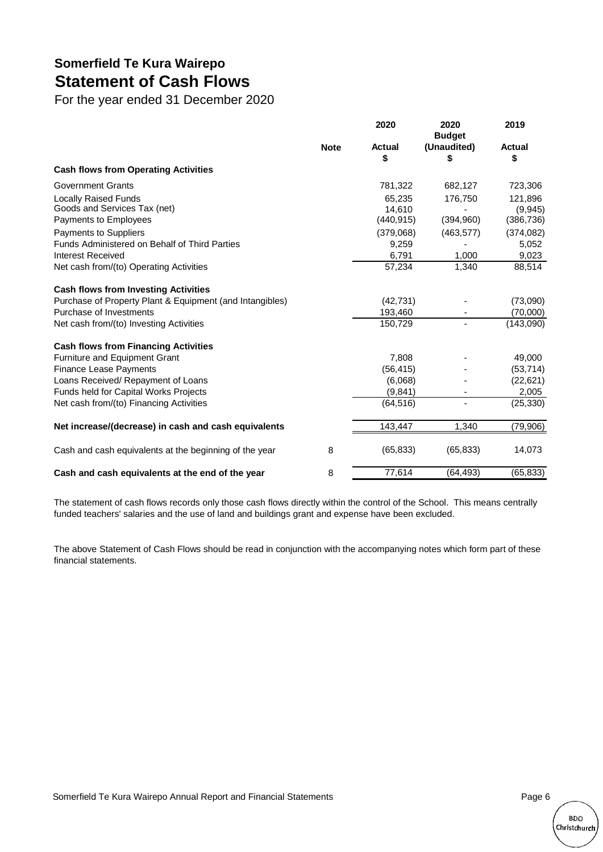## **Somerfield Te Kura Wairepo Statement of Cash Flows**

For the year ended 31 December 2020

|                                                                                      |             | 2020                           | 2020<br><b>Budget</b>    | 2019                             |
|--------------------------------------------------------------------------------------|-------------|--------------------------------|--------------------------|----------------------------------|
|                                                                                      | <b>Note</b> | <b>Actual</b><br>\$            | (Unaudited)<br>P         | <b>Actual</b><br>\$              |
| <b>Cash flows from Operating Activities</b>                                          |             |                                |                          |                                  |
| <b>Government Grants</b>                                                             |             | 781,322                        | 682,127                  | 723,306                          |
| <b>Locally Raised Funds</b><br>Goods and Services Tax (net)<br>Payments to Employees |             | 65,235<br>14.610<br>(440, 915) | 176,750<br>(394,960)     | 121,896<br>(9,945)<br>(386, 736) |
| <b>Payments to Suppliers</b>                                                         |             | (379,068)                      | (463, 577)               | (374, 082)                       |
| <b>Funds Administered on Behalf of Third Parties</b>                                 |             | 9,259                          |                          | 5,052                            |
| Interest Received                                                                    |             | 6,791                          | 1,000                    | 9,023                            |
| Net cash from/(to) Operating Activities                                              |             | 57,234                         | 1,340                    | 88,514                           |
| <b>Cash flows from Investing Activities</b>                                          |             |                                |                          |                                  |
| Purchase of Property Plant & Equipment (and Intangibles)                             |             | (42, 731)                      |                          | (73,090)                         |
| Purchase of Investments                                                              |             | 193,460                        |                          | (70,000)                         |
| Net cash from/(to) Investing Activities                                              |             | 150,729                        | $\overline{\phantom{a}}$ | (143,090)                        |
| <b>Cash flows from Financing Activities</b>                                          |             |                                |                          |                                  |
| <b>Furniture and Equipment Grant</b>                                                 |             | 7,808                          |                          | 49,000                           |
| <b>Finance Lease Payments</b>                                                        |             | (56, 415)                      |                          | (53, 714)                        |
| Loans Received/ Repayment of Loans                                                   |             | (6,068)                        |                          | (22, 621)                        |
| Funds held for Capital Works Projects                                                |             | (9,841)                        |                          | 2,005                            |
| Net cash from/(to) Financing Activities                                              |             | (64, 516)                      |                          | (25, 330)                        |
| Net increase/(decrease) in cash and cash equivalents                                 |             | 143,447                        | 1,340                    | (79,906)                         |
| Cash and cash equivalents at the beginning of the year                               | 8           | (65, 833)                      | (65, 833)                | 14,073                           |
| Cash and cash equivalents at the end of the year                                     | 8           | 77,614                         | (64, 493)                | (65, 833)                        |

The statement of cash flows records only those cash flows directly within the control of the School. This means centrally funded teachers' salaries and the use of land and buildings grant and expense have been excluded.

The above Statement of Cash Flows should be read in conjunction with the accompanying notes which form part of these financial statements.

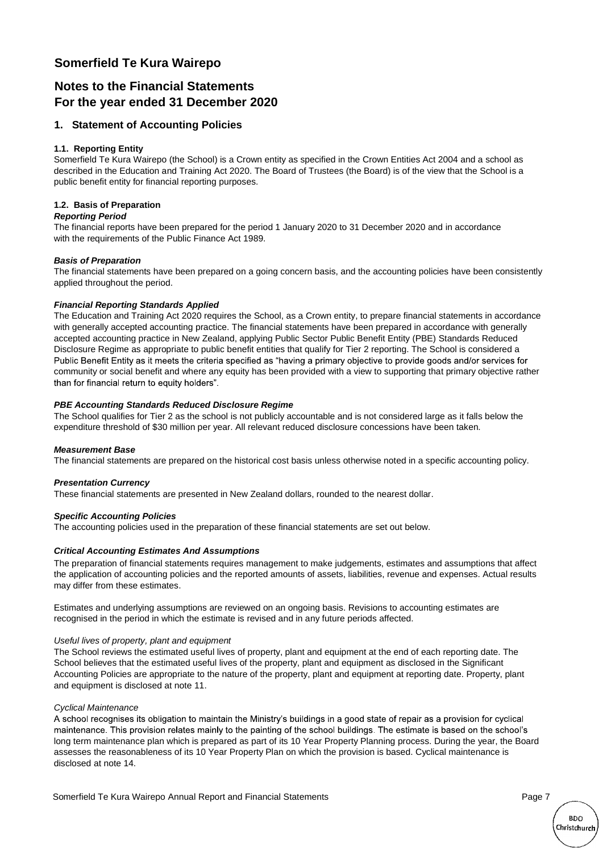#### **Somerfield Te Kura Wairepo**

#### **Notes to the Financial Statements For the year ended 31 December 2020**

#### **1. Statement of Accounting Policies**

#### **1.1. Reporting Entity**

Somerfield Te Kura Wairepo (the School) is a Crown entity as specified in the Crown Entities Act 2004 and a school as described in the Education and Training Act 2020. The Board of Trustees (the Board) is of the view that the School is a public benefit entity for financial reporting purposes.

#### **1.2. Basis of Preparation**

#### *Reporting Period*

The financial reports have been prepared for the period 1 January 2020 to 31 December 2020 and in accordance with the requirements of the Public Finance Act 1989.

#### *Basis of Preparation*

The financial statements have been prepared on a going concern basis, and the accounting policies have been consistently applied throughout the period.

#### *Financial Reporting Standards Applied*

The Education and Training Act 2020 requires the School, as a Crown entity, to prepare financial statements in accordance with generally accepted accounting practice. The financial statements have been prepared in accordance with generally accepted accounting practice in New Zealand, applying Public Sector Public Benefit Entity (PBE) Standards Reduced Disclosure Regime as appropriate to public benefit entities that qualify for Tier 2 reporting. The School is considered a Public Benefit Entity as it meets the criteria specified as "having a primary objective to provide goods and/or services for community or social benefit and where any equity has been provided with a view to supporting that primary objective rather than for financial return to equity holders".

#### *PBE Accounting Standards Reduced Disclosure Regime*

The School qualifies for Tier 2 as the school is not publicly accountable and is not considered large as it falls below the expenditure threshold of \$30 million per year. All relevant reduced disclosure concessions have been taken.

#### *Measurement Base*

The financial statements are prepared on the historical cost basis unless otherwise noted in a specific accounting policy.

#### *Presentation Currency*

These financial statements are presented in New Zealand dollars, rounded to the nearest dollar.

#### *Specific Accounting Policies*

The accounting policies used in the preparation of these financial statements are set out below.

#### *Critical Accounting Estimates And Assumptions*

The preparation of financial statements requires management to make judgements, estimates and assumptions that affect the application of accounting policies and the reported amounts of assets, liabilities, revenue and expenses. Actual results may differ from these estimates.

Estimates and underlying assumptions are reviewed on an ongoing basis. Revisions to accounting estimates are recognised in the period in which the estimate is revised and in any future periods affected.

#### *Useful lives of property, plant and equipment*

and equipment is disclosed at note 11. The School reviews the estimated useful lives of property, plant and equipment at the end of each reporting date. The School believes that the estimated useful lives of the property, plant and equipment as disclosed in the Significant Accounting Policies are appropriate to the nature of the property, plant and equipment at reporting date. Property, plant

#### *Cyclical Maintenance*

A school recognises its obligation to maintain the Ministry's buildings in a good state of repair as a provision for cyclical maintenance. This provision relates mainly to the painting of the school buildings. The estimate is based on the school's long term maintenance plan which is prepared as part of its 10 Year Property Planning process. During the year, the Board assesses the reasonableness of its 10 Year Property Plan on which the provision is based. Cyclical maintenance is disclosed at note 14.

Somerfield Te Kura Wairepo Annual Report and Financial Statements Page 7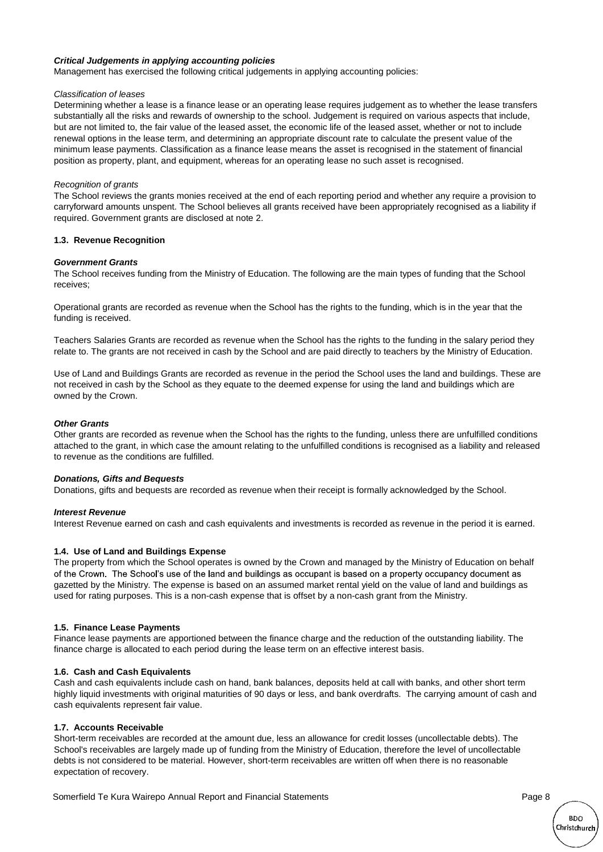#### *Critical Judgements in applying accounting policies*

Management has exercised the following critical judgements in applying accounting policies:

#### *Classification of leases*

Determining whether a lease is a finance lease or an operating lease requires judgement as to whether the lease transfers substantially all the risks and rewards of ownership to the school. Judgement is required on various aspects that include, but are not limited to, the fair value of the leased asset, the economic life of the leased asset, whether or not to include renewal options in the lease term, and determining an appropriate discount rate to calculate the present value of the minimum lease payments. Classification as a finance lease means the asset is recognised in the statement of financial position as property, plant, and equipment, whereas for an operating lease no such asset is recognised.

#### *Recognition of grants*

The School reviews the grants monies received at the end of each reporting period and whether any require a provision to carryforward amounts unspent. The School believes all grants received have been appropriately recognised as a liability if required. Government grants are disclosed at note 2.

#### **1.3. Revenue Recognition**

#### *Government Grants*

The School receives funding from the Ministry of Education. The following are the main types of funding that the School receives;

Operational grants are recorded as revenue when the School has the rights to the funding, which is in the year that the funding is received.

Teachers Salaries Grants are recorded as revenue when the School has the rights to the funding in the salary period they relate to. The grants are not received in cash by the School and are paid directly to teachers by the Ministry of Education.

Use of Land and Buildings Grants are recorded as revenue in the period the School uses the land and buildings. These are not received in cash by the School as they equate to the deemed expense for using the land and buildings which are owned by the Crown.

#### *Other Grants*

Other grants are recorded as revenue when the School has the rights to the funding, unless there are unfulfilled conditions attached to the grant, in which case the amount relating to the unfulfilled conditions is recognised as a liability and released to revenue as the conditions are fulfilled.

#### *Donations, Gifts and Bequests*

Donations, gifts and bequests are recorded as revenue when their receipt is formally acknowledged by the School.

#### *Interest Revenue*

Interest Revenue earned on cash and cash equivalents and investments is recorded as revenue in the period it is earned.

#### **1.4. Use of Land and Buildings Expense**

The property from which the School operates is owned by the Crown and managed by the Ministry of Education on behalf of the Crown. The School's use of the land and buildings as occupant is based on a property occupancy document as gazetted by the Ministry. The expense is based on an assumed market rental yield on the value of land and buildings as used for rating purposes. This is a non-cash expense that is offset by a non-cash grant from the Ministry.

#### **1.5. Finance Lease Payments**

Finance lease payments are apportioned between the finance charge and the reduction of the outstanding liability. The finance charge is allocated to each period during the lease term on an effective interest basis.

#### **1.6. Cash and Cash Equivalents**

Cash and cash equivalents include cash on hand, bank balances, deposits held at call with banks, and other short term highly liquid investments with original maturities of 90 days or less, and bank overdrafts. The carrying amount of cash and cash equivalents represent fair value.

#### **1.7. Accounts Receivable**

Short-term receivables are recorded at the amount due, less an allowance for credit losses (uncollectable debts). The School's receivables are largely made up of funding from the Ministry of Education, therefore the level of uncollectable debts is not considered to be material. However, short-term receivables are written off when there is no reasonable expectation of recovery.

Somerfield Te Kura Wairepo Annual Report and Financial Statements Page 8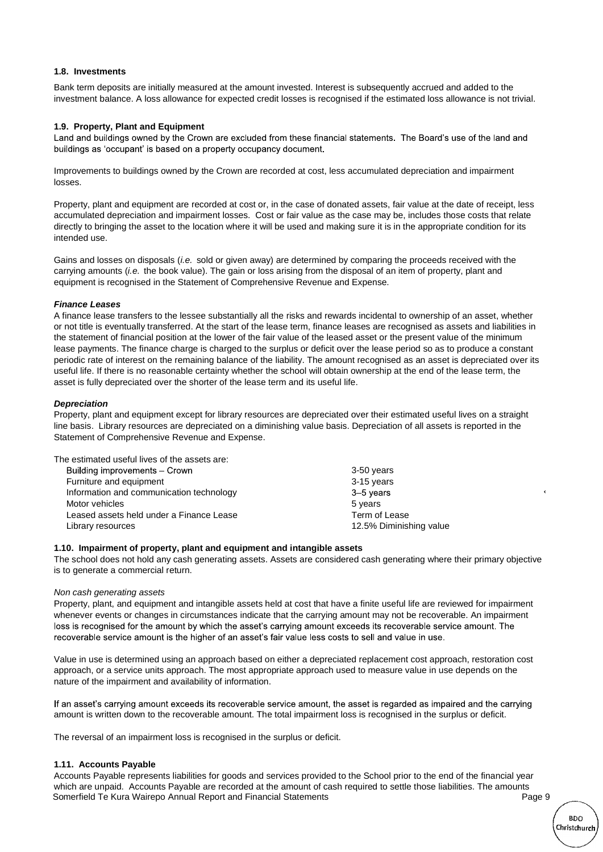#### **1.8. Investments**

Bank term deposits are initially measured at the amount invested. Interest is subsequently accrued and added to the investment balance. A loss allowance for expected credit losses is recognised if the estimated loss allowance is not trivial.

#### **1.9. Property, Plant and Equipment**

Land and buildings owned by the Crown are excluded from these financial statements. The Board's use of the land and buildings as 'occupant' is based on a property occupancy document.

Improvements to buildings owned by the Crown are recorded at cost, less accumulated depreciation and impairment losses.

Property, plant and equipment are recorded at cost or, in the case of donated assets, fair value at the date of receipt, less accumulated depreciation and impairment losses. Cost or fair value as the case may be, includes those costs that relate directly to bringing the asset to the location where it will be used and making sure it is in the appropriate condition for its intended use.

Gains and losses on disposals (*i.e.* sold or given away) are determined by comparing the proceeds received with the carrying amounts (*i.e.* the book value). The gain or loss arising from the disposal of an item of property, plant and equipment is recognised in the Statement of Comprehensive Revenue and Expense.

#### *Finance Leases*

A finance lease transfers to the lessee substantially all the risks and rewards incidental to ownership of an asset, whether or not title is eventually transferred. At the start of the lease term, finance leases are recognised as assets and liabilities in the statement of financial position at the lower of the fair value of the leased asset or the present value of the minimum lease payments. The finance charge is charged to the surplus or deficit over the lease period so as to produce a constant periodic rate of interest on the remaining balance of the liability. The amount recognised as an asset is depreciated over its useful life. If there is no reasonable certainty whether the school will obtain ownership at the end of the lease term, the asset is fully depreciated over the shorter of the lease term and its useful life.

#### *Depreciation*

Property, plant and equipment except for library resources are depreciated over their estimated useful lives on a straight line basis. Library resources are depreciated on a diminishing value basis. Depreciation of all assets is reported in the Statement of Comprehensive Revenue and Expense.

| The estimated useful lives of the assets are: |                         |
|-----------------------------------------------|-------------------------|
| Building improvements - Crown                 | 3-50 years              |
| Furniture and equipment                       | 3-15 years              |
| Information and communication technology      | 3-5 years               |
| Motor vehicles                                | 5 years                 |
| Leased assets held under a Finance Lease      | Term of Lease           |
| Library resources                             | 12.5% Diminishing value |
|                                               |                         |

#### **1.10. Impairment of property, plant and equipment and intangible assets**

The school does not hold any cash generating assets. Assets are considered cash generating where their primary objective is to generate a commercial return.

#### *Non cash generating assets*

Property, plant, and equipment and intangible assets held at cost that have a finite useful life are reviewed for impairment whenever events or changes in circumstances indicate that the carrying amount may not be recoverable. An impairment loss is recognised for the amount by which the asset's carrying amount exceeds its recoverable service amount. The recoverable service amount is the higher of an asset's fair value less costs to sell and value in use.

Value in use is determined using an approach based on either a depreciated replacement cost approach, restoration cost approach, or a service units approach. The most appropriate approach used to measure value in use depends on the nature of the impairment and availability of information.

If an asset's carrying amount exceeds its recoverable service amount, the asset is regarded as impaired and the carrying amount is written down to the recoverable amount. The total impairment loss is recognised in the surplus or deficit.

The reversal of an impairment loss is recognised in the surplus or deficit.

#### **1.11. Accounts Payable**

Accounts Payable represents liabilities for goods and services provided to the School prior to the end of the financial year which are unpaid. Accounts Payable are recorded at the amount of cash required to settle those liabilities. The amounts Somerfield Te Kura Wairepo Annual Report and Financial Statements Page 9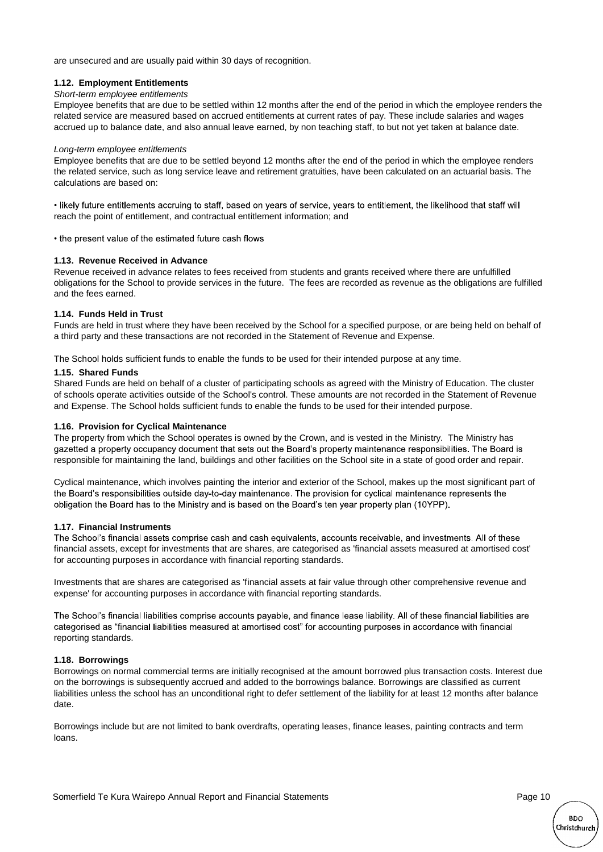are unsecured and are usually paid within 30 days of recognition.

#### **1.12. Employment Entitlements**

#### *Short-term employee entitlements*

Employee benefits that are due to be settled within 12 months after the end of the period in which the employee renders the related service are measured based on accrued entitlements at current rates of pay. These include salaries and wages accrued up to balance date, and also annual leave earned, by non teaching staff, to but not yet taken at balance date.

#### *Long-term employee entitlements*

Employee benefits that are due to be settled beyond 12 months after the end of the period in which the employee renders the related service, such as long service leave and retirement gratuities, have been calculated on an actuarial basis. The calculations are based on:

. likely future entitlements accruing to staff, based on years of service, years to entitlement, the likelihood that staff will reach the point of entitlement, and contractual entitlement information; and

• the present value of the estimated future cash flows

#### **1.13. Revenue Received in Advance**

Revenue received in advance relates to fees received from students and grants received where there are unfulfilled obligations for the School to provide services in the future. The fees are recorded as revenue as the obligations are fulfilled and the fees earned.

#### **1.14. Funds Held in Trust**

Funds are held in trust where they have been received by the School for a specified purpose, or are being held on behalf of a third party and these transactions are not recorded in the Statement of Revenue and Expense.

The School holds sufficient funds to enable the funds to be used for their intended purpose at any time.

#### **1.15. Shared Funds**

Shared Funds are held on behalf of a cluster of participating schools as agreed with the Ministry of Education. The cluster of schools operate activities outside of the School's control. These amounts are not recorded in the Statement of Revenue and Expense. The School holds sufficient funds to enable the funds to be used for their intended purpose.

#### **1.16. Provision for Cyclical Maintenance**

The property from which the School operates is owned by the Crown, and is vested in the Ministry. The Ministry has gazetted a property occupancy document that sets out the Board's property maintenance responsibilities. The Board is responsible for maintaining the land, buildings and other facilities on the School site in a state of good order and repair.

Cyclical maintenance, which involves painting the interior and exterior of the School, makes up the most significant part of the Board's responsibilities outside day-to-day maintenance. The provision for cyclical maintenance represents the obligation the Board has to the Ministry and is based on the Board's ten year property plan (10YPP).

#### **1.17. Financial Instruments**

The School's financial assets comprise cash and cash equivalents, accounts receivable, and investments. All of these financial assets, except for investments that are shares, are categorised as 'financial assets measured at amortised cost' for accounting purposes in accordance with financial reporting standards.

Investments that are shares are categorised as 'financial assets at fair value through other comprehensive revenue and expense' for accounting purposes in accordance with financial reporting standards.

The School's financial liabilities comprise accounts payable, and finance lease liability. All of these financial liabilities are categorised as "financial liabilities measured at amortised cost" for accounting purposes in accordance with financial reporting standards.

#### **1.18. Borrowings**

Borrowings on normal commercial terms are initially recognised at the amount borrowed plus transaction costs. Interest due on the borrowings is subsequently accrued and added to the borrowings balance. Borrowings are classified as current liabilities unless the school has an unconditional right to defer settlement of the liability for at least 12 months after balance date.

Borrowings include but are not limited to bank overdrafts, operating leases, finance leases, painting contracts and term loans.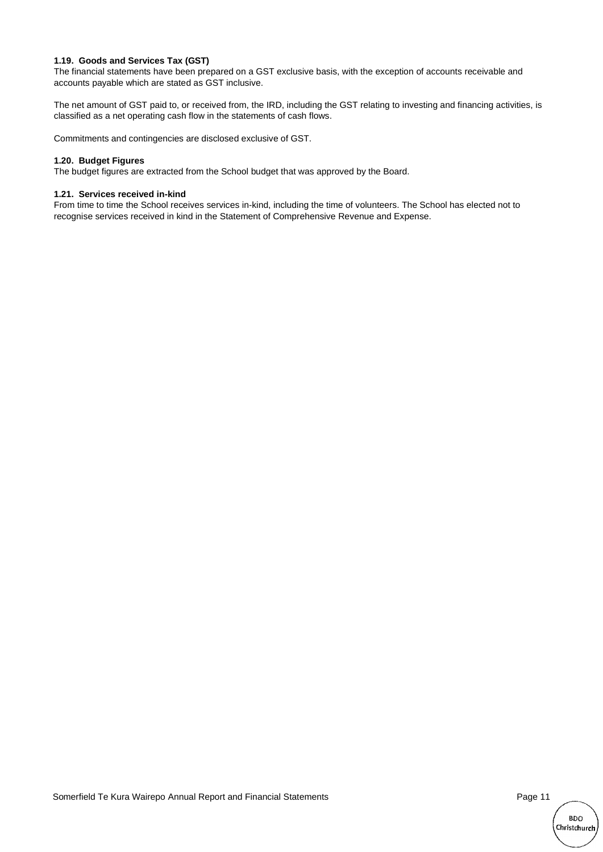#### **1.19. Goods and Services Tax (GST)**

The financial statements have been prepared on a GST exclusive basis, with the exception of accounts receivable and accounts payable which are stated as GST inclusive.

The net amount of GST paid to, or received from, the IRD, including the GST relating to investing and financing activities, is classified as a net operating cash flow in the statements of cash flows.

Commitments and contingencies are disclosed exclusive of GST.

#### **1.20. Budget Figures**

The budget figures are extracted from the School budget that was approved by the Board.

#### **1.21. Services received in-kind**

From time to time the School receives services in-kind, including the time of volunteers. The School has elected not to recognise services received in kind in the Statement of Comprehensive Revenue and Expense.

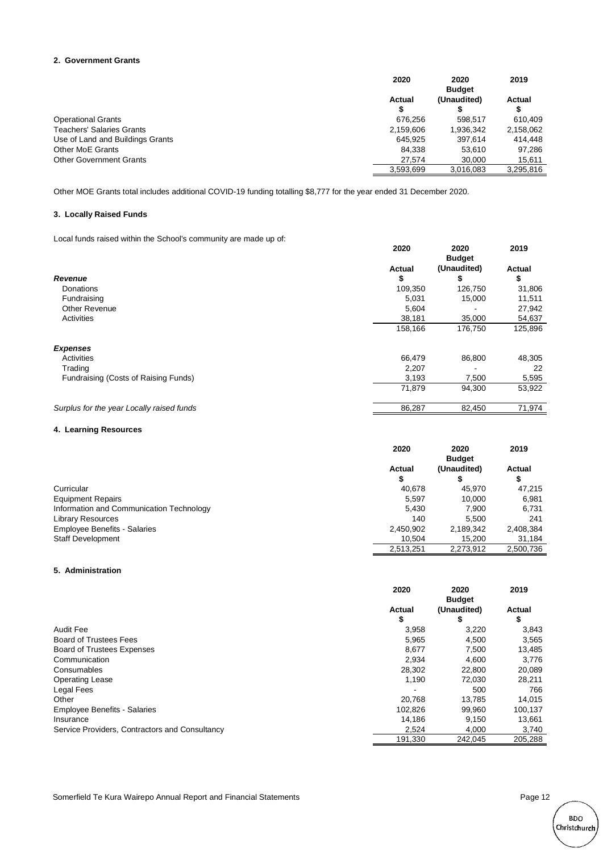#### **2. Government Grants**

|                                  | 2020         | 2020<br><b>Budget</b> | 2019      |
|----------------------------------|--------------|-----------------------|-----------|
|                                  | Actual<br>\$ | (Unaudited)           | Actual    |
| <b>Operational Grants</b>        | 676.256      | 598.517               | 610.409   |
| <b>Teachers' Salaries Grants</b> | 2,159,606    | 1,936,342             | 2,158,062 |
| Use of Land and Buildings Grants | 645.925      | 397.614               | 414.448   |
| <b>Other MoE Grants</b>          | 84.338       | 53.610                | 97.286    |
| <b>Other Government Grants</b>   | 27.574       | 30,000                | 15,611    |
|                                  | 3,593,699    | 3,016,083             | 3,295,816 |

Other MOE Grants total includes additional COVID-19 funding totalling \$8,777 for the year ended 31 December 2020.

#### **3. Locally Raised Funds**

Local funds raised within the School's community are made up of:

|                                           | 2020         | 2020<br><b>Budget</b> | 2019                |
|-------------------------------------------|--------------|-----------------------|---------------------|
| <b>Revenue</b>                            | Actual<br>\$ | (Unaudited)<br>\$     | <b>Actual</b><br>\$ |
| Donations                                 | 109,350      | 126,750               | 31,806              |
| Fundraising                               | 5,031        | 15,000                | 11,511              |
| <b>Other Revenue</b>                      | 5,604        |                       | 27,942              |
| Activities                                | 38,181       | 35,000                | 54,637              |
|                                           | 158,166      | 176,750               | 125,896             |
| <b>Expenses</b>                           |              |                       |                     |
| Activities                                | 66,479       | 86,800                | 48,305              |
| Trading                                   | 2,207        |                       | 22                  |
| Fundraising (Costs of Raising Funds)      | 3,193        | 7,500                 | 5,595               |
|                                           | 71,879       | 94,300                | 53,922              |
| Surplus for the year Locally raised funds | 86,287       | 82,450                | 71,974              |

#### **4. Learning Resources**

|                                          | 2020      | 2020<br><b>Budget</b> | 2019      |
|------------------------------------------|-----------|-----------------------|-----------|
|                                          | Actual    | (Unaudited)           | Actual    |
|                                          |           |                       | Φ         |
| Curricular                               | 40.678    | 45.970                | 47.215    |
| <b>Equipment Repairs</b>                 | 5.597     | 10.000                | 6.981     |
| Information and Communication Technology | 5.430     | 7.900                 | 6.731     |
| <b>Library Resources</b>                 | 140       | 5.500                 | 241       |
| <b>Employee Benefits - Salaries</b>      | 2,450,902 | 2,189,342             | 2,408,384 |
| <b>Staff Development</b>                 | 10.504    | 15.200                | 31.184    |
|                                          | 2.513.251 | 2.273.912             | 2.500.736 |

#### **5. Administration**

|                                                | 2020         | 2020<br><b>Budget</b> | 2019         |
|------------------------------------------------|--------------|-----------------------|--------------|
|                                                | Actual<br>\$ | (Unaudited)<br>\$     | Actual<br>\$ |
| Audit Fee                                      | 3,958        | 3,220                 | 3,843        |
| <b>Board of Trustees Fees</b>                  | 5,965        | 4,500                 | 3,565        |
| Board of Trustees Expenses                     | 8,677        | 7.500                 | 13,485       |
| Communication                                  | 2,934        | 4.600                 | 3,776        |
| Consumables                                    | 28,302       | 22,800                | 20,089       |
| <b>Operating Lease</b>                         | 1,190        | 72.030                | 28,211       |
| Legal Fees                                     |              | 500                   | 766          |
| Other                                          | 20.768       | 13.785                | 14,015       |
| <b>Employee Benefits - Salaries</b>            | 102.826      | 99,960                | 100,137      |
| Insurance                                      | 14.186       | 9.150                 | 13,661       |
| Service Providers, Contractors and Consultancy | 2,524        | 4,000                 | 3,740        |
|                                                | 191,330      | 242,045               | 205,288      |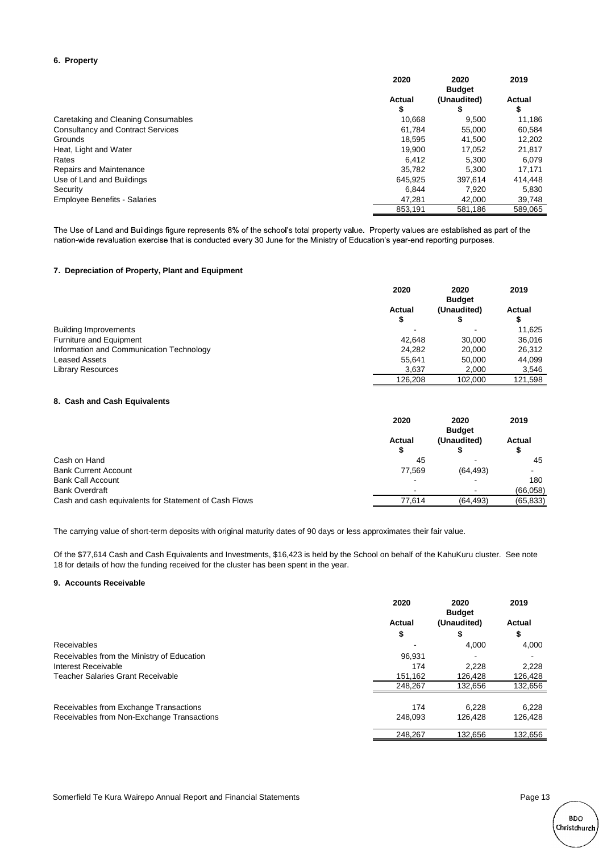#### **6. Property**

|                                          | 2020        | 2020<br><b>Budget</b> | 2019         |
|------------------------------------------|-------------|-----------------------|--------------|
|                                          | Actual<br>S | (Unaudited)<br>S      | Actual<br>\$ |
| Caretaking and Cleaning Consumables      | 10.668      | 9.500                 | 11.186       |
| <b>Consultancy and Contract Services</b> | 61.784      | 55,000                | 60.584       |
| Grounds                                  | 18.595      | 41.500                | 12,202       |
| Heat, Light and Water                    | 19.900      | 17.052                | 21,817       |
| Rates                                    | 6.412       | 5.300                 | 6.079        |
| Repairs and Maintenance                  | 35.782      | 5.300                 | 17.171       |
| Use of Land and Buildings                | 645.925     | 397.614               | 414.448      |
| Security                                 | 6.844       | 7.920                 | 5.830        |
| <b>Employee Benefits - Salaries</b>      | 47.281      | 42,000                | 39,748       |
|                                          | 853.191     | 581.186               | 589.065      |

The Use of Land and Buildings figure represents 8% of the school's total property value. Property values are established as part of the nation-wide revaluation exercise that is conducted every 30 June for the Ministry of Education's year-end reporting purposes.

#### **7. Depreciation of Property, Plant and Equipment**

|                                          | 2020         | 2020<br><b>Budget</b> | 2019        |
|------------------------------------------|--------------|-----------------------|-------------|
|                                          | Actual<br>\$ | (Unaudited)           | Actual<br>Φ |
| <b>Building Improvements</b>             |              |                       | 11.625      |
| Furniture and Equipment                  | 42.648       | 30,000                | 36,016      |
| Information and Communication Technology | 24.282       | 20,000                | 26,312      |
| <b>Leased Assets</b>                     | 55.641       | 50,000                | 44.099      |
| <b>Library Resources</b>                 | 3.637        | 2,000                 | 3,546       |
|                                          | 126.208      | 102.000               | 121.598     |

#### **8. Cash and Cash Equivalents**

|                                                       | 2020   | 2020<br><b>Budget</b> | 2019      |
|-------------------------------------------------------|--------|-----------------------|-----------|
|                                                       | Actual | (Unaudited)           | Actual    |
|                                                       | ъ      |                       | ъ         |
| Cash on Hand                                          | 45     |                       | 45        |
| <b>Bank Current Account</b>                           | 77.569 | (64, 493)             |           |
| <b>Bank Call Account</b>                              |        | -                     | 180       |
| <b>Bank Overdraft</b>                                 |        |                       | (66,058)  |
| Cash and cash equivalents for Statement of Cash Flows | 77,614 | (64, 493)             | (65, 833) |

The carrying value of short-term deposits with original maturity dates of 90 days or less approximates their fair value.

Of the \$77,614 Cash and Cash Equivalents and Investments, \$16,423 is held by the School on behalf of the KahuKuru cluster. See note 18 for details of how the funding received for the cluster has been spent in the year.

#### **9. Accounts Receivable**

|                                            | 2020    | 2020<br><b>Budget</b> | 2019    |
|--------------------------------------------|---------|-----------------------|---------|
|                                            | Actual  | (Unaudited)           | Actual  |
|                                            | \$      | \$                    | \$      |
| Receivables                                |         | 4.000                 | 4,000   |
| Receivables from the Ministry of Education | 96.931  |                       |         |
| Interest Receivable                        | 174     | 2.228                 | 2,228   |
| <b>Teacher Salaries Grant Receivable</b>   | 151,162 | 126,428               | 126,428 |
|                                            | 248,267 | 132,656               | 132,656 |
| Receivables from Exchange Transactions     | 174     | 6.228                 | 6,228   |
| Receivables from Non-Exchange Transactions | 248.093 | 126.428               | 126,428 |
|                                            | 248.267 | 132.656               | 132,656 |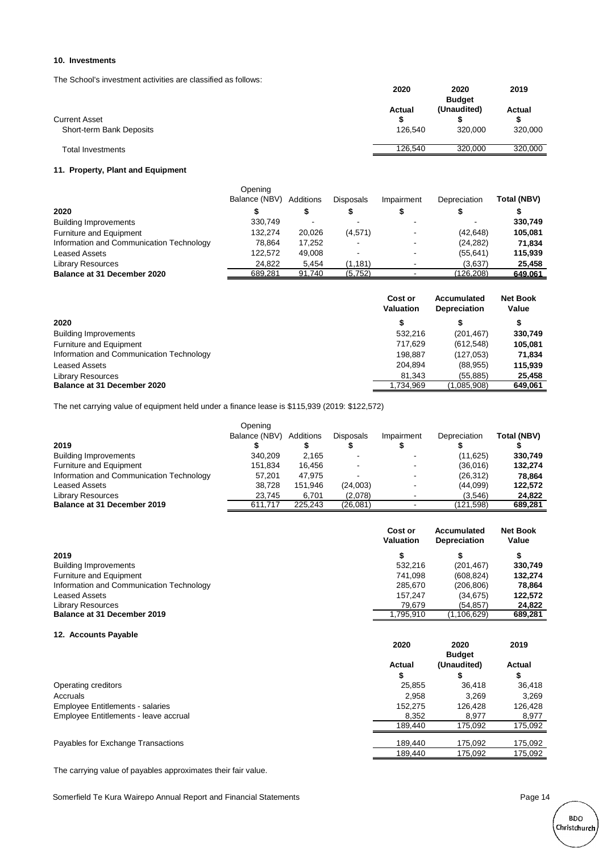#### **10. Investments**

The School's investment activities are classified as follows:

|                          | 2020    | 2020<br><b>Budget</b> | 2019    |
|--------------------------|---------|-----------------------|---------|
| <b>Current Asset</b>     | Actual  | (Unaudited)           | Actual  |
| Short-term Bank Deposits | 126.540 | 320,000               | 320,000 |
| Total Investments        | 126.540 | 320,000               | 320,000 |

#### **11. Property, Plant and Equipment**

|                                          | Opening<br>Balance (NBV) | Additions | <b>Disposals</b> | Impairment | Depreciation | Total (NBV) |
|------------------------------------------|--------------------------|-----------|------------------|------------|--------------|-------------|
| 2020                                     |                          |           |                  |            |              |             |
| <b>Building Improvements</b>             | 330.749                  |           |                  |            |              | 330,749     |
| Furniture and Equipment                  | 132.274                  | 20,026    | (4,571)          |            | (42, 648)    | 105.081     |
| Information and Communication Technology | 78.864                   | 17.252    | -                |            | (24, 282)    | 71.834      |
| <b>Leased Assets</b>                     | 122.572                  | 49,008    |                  |            | (55, 641)    | 115,939     |
| <b>Library Resources</b>                 | 24.822                   | 5.454     | (1, 181)         |            | (3,637)      | 25,458      |
| Balance at 31 December 2020              | 689,281                  | 91,740    | (5,752)          |            | (126, 208)   | 649,061     |

|                                          | Cost or<br><b>Valuation</b> | Accumulated<br><b>Depreciation</b> | <b>Net Book</b><br>Value |
|------------------------------------------|-----------------------------|------------------------------------|--------------------------|
| 2020                                     |                             | S                                  | ъ                        |
| <b>Building Improvements</b>             | 532.216                     | (201, 467)                         | 330,749                  |
| Furniture and Equipment                  | 717.629                     | (612, 548)                         | 105,081                  |
| Information and Communication Technology | 198,887                     | (127, 053)                         | 71,834                   |
| <b>Leased Assets</b>                     | 204.894                     | (88, 955)                          | 115.939                  |
| <b>Library Resources</b>                 | 81.343                      | (55, 885)                          | 25.458                   |
| <b>Balance at 31 December 2020</b>       | 1.734.969                   | (1,085,908)                        | 649,061                  |

The net carrying value of equipment held under a finance lease is \$115,939 (2019: \$122,572)

|                                          | Opening       |           |                  |            |              |             |
|------------------------------------------|---------------|-----------|------------------|------------|--------------|-------------|
|                                          | Balance (NBV) | Additions | <b>Disposals</b> | Impairment | Depreciation | Total (NBV) |
| 2019                                     |               |           |                  |            |              |             |
| <b>Building Improvements</b>             | 340.209       | 2,165     |                  |            | (11.625)     | 330.749     |
| Furniture and Equipment                  | 151.834       | 16.456    |                  |            | (36,016)     | 132,274     |
| Information and Communication Technology | 57.201        | 47.975    |                  |            | (26, 312)    | 78.864      |
| <b>Leased Assets</b>                     | 38.728        | 151.946   | (24,003)         |            | (44,099)     | 122,572     |
| <b>Library Resources</b>                 | 23.745        | 6,701     | (2,078)          |            | (3,546)      | 24.822      |
| Balance at 31 December 2019              | 611.717       | 225.243   | (26,081)         |            | (121.598)    | 689,281     |

|                                          | Cost or<br><b>Valuation</b> | Accumulated<br><b>Depreciation</b> | <b>Net Book</b><br>Value |
|------------------------------------------|-----------------------------|------------------------------------|--------------------------|
| 2019                                     |                             |                                    | \$                       |
| <b>Building Improvements</b>             | 532.216                     | (201, 467)                         | 330.749                  |
| Furniture and Equipment                  | 741.098                     | (608, 824)                         | 132.274                  |
| Information and Communication Technology | 285.670                     | (206, 806)                         | 78.864                   |
| <b>Leased Assets</b>                     | 157.247                     | (34.675)                           | 122.572                  |
| <b>Library Resources</b>                 | 79.679                      | (54.857)                           | 24.822                   |
| Balance at 31 December 2019              | 795,910,                    | (1, 106, 629)                      | 689,281                  |

#### **12. Accounts Payable**

|                                         | 2020    | 2020<br><b>Budget</b> | 2019    |
|-----------------------------------------|---------|-----------------------|---------|
|                                         | Actual  | (Unaudited)           | Actual  |
|                                         | S       | ⊕                     | Φ       |
| Operating creditors                     | 25,855  | 36,418                | 36,418  |
| Accruals                                | 2.958   | 3.269                 | 3.269   |
| <b>Employee Entitlements - salaries</b> | 152.275 | 126,428               | 126,428 |
| Employee Entitlements - leave accrual   | 8,352   | 8,977                 | 8,977   |
|                                         | 189.440 | 175.092               | 175,092 |
| Payables for Exchange Transactions      | 189.440 | 175,092               | 175,092 |
|                                         | 189.440 | 175,092               | 175,092 |

The carrying value of payables approximates their fair value.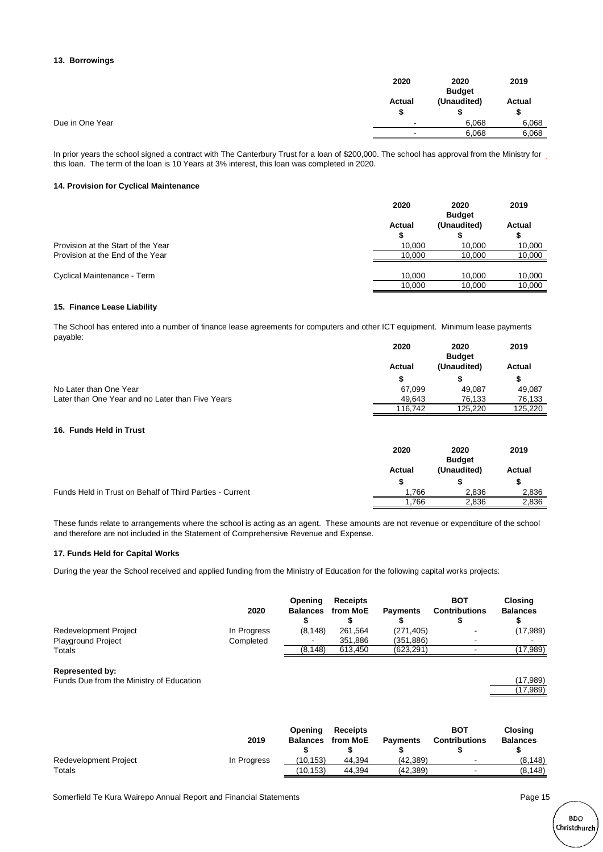#### **13. Borrowings**

|                 | 2020        | 2020<br><b>Budget</b> | 2019         |
|-----------------|-------------|-----------------------|--------------|
|                 | Actual<br>S | (Unaudited)           | Actual<br>\$ |
| Due in One Year | -           | 6,068                 | 6,068        |
|                 |             | 6,068                 | 6,068        |

In prior years the school signed a contract with The Canterbury Trust for a loan of \$200,000. The school has approval from the Ministry for this loan. The term of the loan is 10 Years at 3% interest, this loan was completed in 2020.

#### **14. Provision for Cyclical Maintenance**

|                                    | 2020        | 2020<br><b>Budget</b> | 2019         |
|------------------------------------|-------------|-----------------------|--------------|
|                                    | Actual<br>S | (Unaudited)           | Actual<br>\$ |
| Provision at the Start of the Year | 10.000      | 10.000                | 10,000       |
| Provision at the End of the Year   | 10.000      | 10.000                | 10,000       |
| Cyclical Maintenance - Term        | 10.000      | 10.000                | 10,000       |
|                                    | 10.000      | 10.000                | 10.000       |

#### **15. Finance Lease Liability**

The School has entered into a number of finance lease agreements for computers and other ICT equipment. Minimum lease payments payable:

|                                                  | 2020    | 2020          | 2019    |
|--------------------------------------------------|---------|---------------|---------|
|                                                  |         | <b>Budget</b> |         |
|                                                  | Actual  | (Unaudited)   | Actual  |
|                                                  |         |               |         |
| No Later than One Year                           | 67.099  | 49.087        | 49.087  |
| Later than One Year and no Later than Five Years | 49.643  | 76.133        | 76,133  |
|                                                  | 116.742 | 125.220       | 125.220 |

#### **16. Funds Held in Trust**

|                                                          | 2020   | 2020<br><b>Budget</b> | 2019   |
|----------------------------------------------------------|--------|-----------------------|--------|
|                                                          | Actual | (Unaudited)           | Actual |
|                                                          |        |                       |        |
| Funds Held in Trust on Behalf of Third Parties - Current | 1.766  | 2.836                 | 2,836  |
|                                                          | .766   | 2,836                 | 2,836  |

These funds relate to arrangements where the school is acting as an agent. These amounts are not revenue or expenditure of the school and therefore are not included in the Statement of Comprehensive Revenue and Expense.

#### **17. Funds Held for Capital Works**

During the year the School received and applied funding from the Ministry of Education for the following capital works projects:

|                           | 2020        | <b>Opening</b><br><b>Balances</b> | <b>Receipts</b><br>from MoE | <b>Payments</b> | <b>BOT</b><br><b>Contributions</b> | <b>Closing</b><br><b>Balances</b> |
|---------------------------|-------------|-----------------------------------|-----------------------------|-----------------|------------------------------------|-----------------------------------|
| Redevelopment Project     | In Progress | (8, 148)                          | 261.564                     | (271, 405)      | -                                  | (17,989)                          |
| <b>Playground Project</b> | Completed   | $\overline{\phantom{a}}$          | 351.886                     | (351,886)       |                                    | $\blacksquare$                    |
| Totals                    |             | (8, 148)                          | 613,450                     | (623,291)       |                                    | (17,989)                          |
| <b>Represented by:</b>    |             |                                   |                             |                 |                                    |                                   |

Funds Due from the Ministry of Education (17,989) (17,989)

|                       | 2019        | Opening<br><b>Balances</b> | <b>Receipts</b><br>from MoE | <b>Payments</b> | <b>BOT</b><br><b>Contributions</b> | Closing<br><b>Balances</b> |
|-----------------------|-------------|----------------------------|-----------------------------|-----------------|------------------------------------|----------------------------|
| Redevelopment Project | In Progress | (10.153)                   | 44.394                      | (42.389)        |                                    | (8.148)                    |
| Totals                |             | (10.153)                   | 44.394                      | (42.389)        |                                    | (8, 148)                   |

(17,989)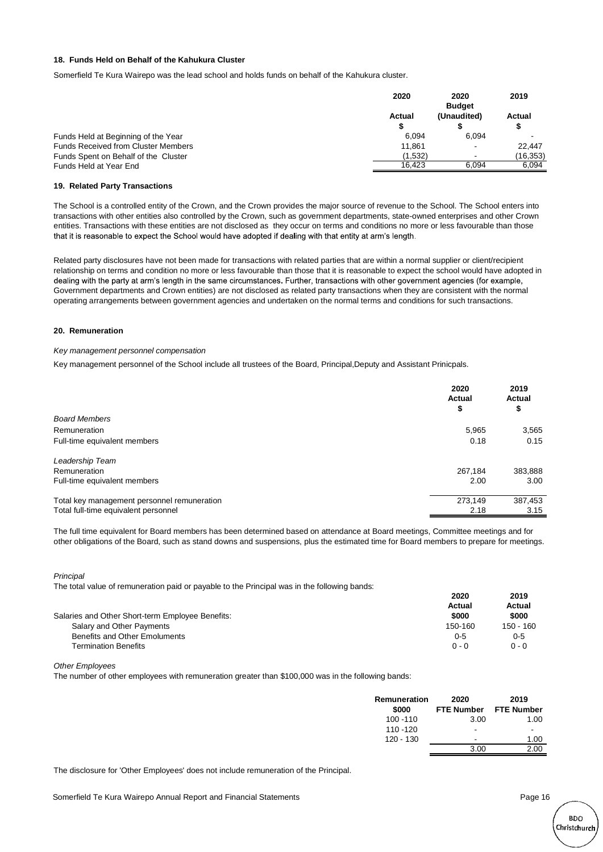#### **18. Funds Held on Behalf of the Kahukura Cluster**

Somerfield Te Kura Wairepo was the lead school and holds funds on behalf of the Kahukura cluster.

|                                            | 2020    | 2020<br><b>Budget</b>    | 2019           |
|--------------------------------------------|---------|--------------------------|----------------|
|                                            | Actual  | (Unaudited)              | Actual<br>S    |
| Funds Held at Beginning of the Year        | 6.094   | 6.094                    | $\blacksquare$ |
| <b>Funds Received from Cluster Members</b> | 11.861  | $\overline{\phantom{a}}$ | 22.447         |
| Funds Spent on Behalf of the Cluster       | (1.532) |                          | (16, 353)      |
| Funds Held at Year End                     | 16.423  | 6.094                    | 6.094          |
|                                            |         |                          |                |

#### **19. Related Party Transactions**

The School is a controlled entity of the Crown, and the Crown provides the major source of revenue to the School. The School enters into transactions with other entities also controlled by the Crown, such as government departments, state-owned enterprises and other Crown entities. Transactions with these entities are not disclosed as they occur on terms and conditions no more or less favourable than those that it is reasonable to expect the School would have adopted if dealing with that entity at arm's length.

Related party disclosures have not been made for transactions with related parties that are within a normal supplier or client/recipient relationship on terms and condition no more or less favourable than those that it is reasonable to expect the school would have adopted in dealing with the party at arm's length in the same circumstances. Further, transactions with other government agencies (for example, Government departments and Crown entities) are not disclosed as related party transactions when they are consistent with the normal operating arrangements between government agencies and undertaken on the normal terms and conditions for such transactions.

#### **20. Remuneration**

#### *Key management personnel compensation*

Key management personnel of the School include all trustees of the Board, Principal,Deputy and Assistant Prinicpals.

|                                             | 2020<br>Actual<br>\$ | 2019<br>Actual<br>\$ |
|---------------------------------------------|----------------------|----------------------|
| <b>Board Members</b>                        |                      |                      |
| Remuneration                                | 5,965                | 3,565                |
| Full-time equivalent members                | 0.18                 | 0.15                 |
| Leadership Team                             |                      |                      |
| Remuneration                                | 267.184              | 383,888              |
| Full-time equivalent members                | 2.00                 | 3.00                 |
| Total key management personnel remuneration | 273.149              | 387,453              |
| Total full-time equivalent personnel        | 2.18                 | 3.15                 |

The full time equivalent for Board members has been determined based on attendance at Board meetings, Committee meetings and for other obligations of the Board, such as stand downs and suspensions, plus the estimated time for Board members to prepare for meetings.

#### *Principal*

The total value of remuneration paid or payable to the Principal was in the following bands:

|                                                  | 2020    | 2019      |
|--------------------------------------------------|---------|-----------|
|                                                  | Actual  | Actual    |
| Salaries and Other Short-term Employee Benefits: | \$000   | \$000     |
| Salary and Other Payments                        | 150-160 | 150 - 160 |
| <b>Benefits and Other Emoluments</b>             | $0 - 5$ | $0 - 5$   |
| <b>Termination Benefits</b>                      | $0 - 0$ | $0 - 0$   |

*Other Employees*

The number of other employees with remuneration greater than \$100,000 was in the following bands:

| Remuneration<br>\$000 | 2020<br><b>FTE Number</b> | 2019<br><b>FTE Number</b> |
|-----------------------|---------------------------|---------------------------|
| $100 - 110$           | 3.00                      | 1.00                      |
| 110 - 120             | $\overline{\phantom{a}}$  | $\overline{\phantom{a}}$  |
| $120 - 130$           | $\overline{\phantom{a}}$  | 1.00                      |
|                       | 3.00                      | 2.00                      |
|                       |                           |                           |

The disclosure for 'Other Employees' does not include remuneration of the Principal.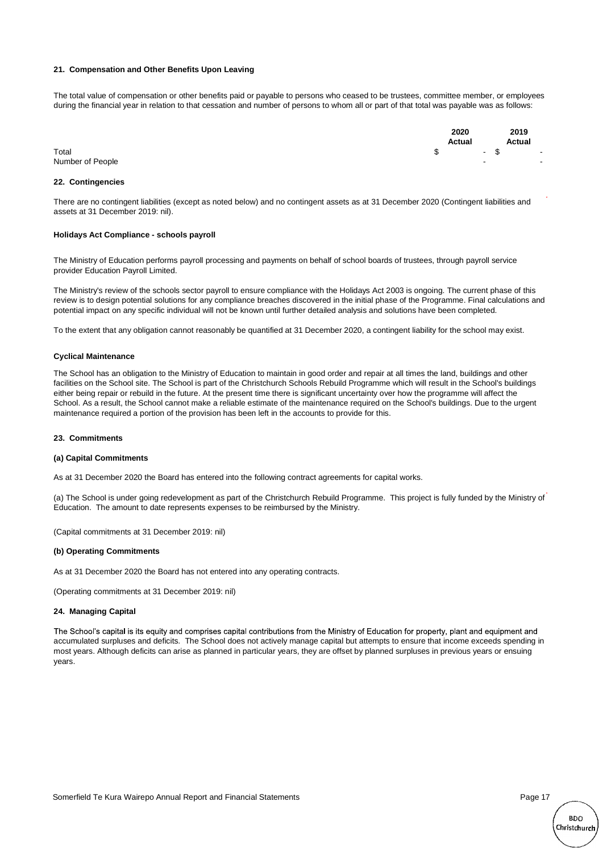#### **21. Compensation and Other Benefits Upon Leaving**

The total value of compensation or other benefits paid or payable to persons who ceased to be trustees, committee member, or employees during the financial year in relation to that cessation and number of persons to whom all or part of that total was payable was as follows:

|                  | 2020          |     | 2019   |        |
|------------------|---------------|-----|--------|--------|
|                  | Actual        |     | Actual |        |
| Total            | $-$ \$<br>- S |     |        | $\sim$ |
| Number of People |               | . . |        |        |

#### **22. Contingencies**

There are no contingent liabilities (except as noted below) and no contingent assets as at 31 December 2020 (Contingent liabilities and assets at 31 December 2019: nil).

#### **Holidays Act Compliance - schools payroll**

The Ministry of Education performs payroll processing and payments on behalf of school boards of trustees, through payroll service provider Education Payroll Limited.

The Ministry's review of the schools sector payroll to ensure compliance with the Holidays Act 2003 is ongoing. The current phase of this review is to design potential solutions for any compliance breaches discovered in the initial phase of the Programme. Final calculations and potential impact on any specific individual will not be known until further detailed analysis and solutions have been completed.

To the extent that any obligation cannot reasonably be quantified at 31 December 2020, a contingent liability for the school may exist.

#### **Cyclical Maintenance**

The School has an obligation to the Ministry of Education to maintain in good order and repair at all times the land, buildings and other facilities on the School site. The School is part of the Christchurch Schools Rebuild Programme which will result in the School's buildings either being repair or rebuild in the future. At the present time there is significant uncertainty over how the programme will affect the School. As a result, the School cannot make a reliable estimate of the maintenance required on the School's buildings. Due to the urgent maintenance required a portion of the provision has been left in the accounts to provide for this.

#### **23. Commitments**

#### **(a) Capital Commitments**

As at 31 December 2020 the Board has entered into the following contract agreements for capital works.

(a) The School is under going redevelopment as part of the Christchurch Rebuild Programme. This project is fully funded by the Ministry of Education. The amount to date represents expenses to be reimbursed by the Ministry.

(Capital commitments at 31 December 2019: nil)

#### **(b) Operating Commitments**

As at 31 December 2020 the Board has not entered into any operating contracts.

(Operating commitments at 31 December 2019: nil)

#### **24. Managing Capital**

The School's capital is its equity and comprises capital contributions from the Ministry of Education for property, plant and equipment and accumulated surpluses and deficits. The School does not actively manage capital but attempts to ensure that income exceeds spending in most years. Although deficits can arise as planned in particular years, they are offset by planned surpluses in previous years or ensuing years.

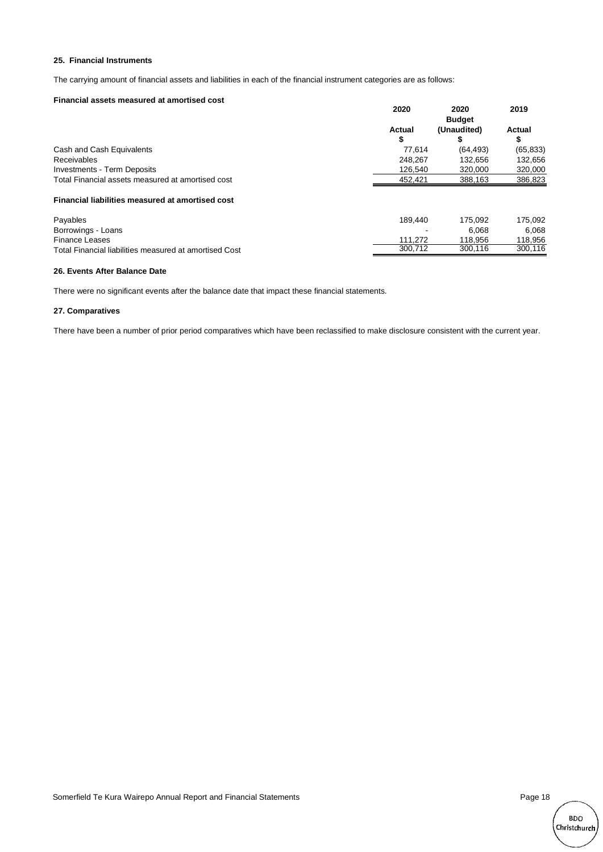#### **25. Financial Instruments**

The carrying amount of financial assets and liabilities in each of the financial instrument categories are as follows:

#### **Financial assets measured at amortised cost**

|                                                        | 2020    | 2020          | 2019      |
|--------------------------------------------------------|---------|---------------|-----------|
|                                                        |         | <b>Budget</b> |           |
|                                                        | Actual  | (Unaudited)   | Actual    |
|                                                        | \$      |               |           |
| Cash and Cash Equivalents                              | 77.614  | (64, 493)     | (65, 833) |
| <b>Receivables</b>                                     | 248.267 | 132.656       | 132,656   |
| <b>Investments - Term Deposits</b>                     | 126.540 | 320,000       | 320,000   |
| Total Financial assets measured at amortised cost      | 452,421 | 388,163       | 386,823   |
| Financial liabilities measured at amortised cost       |         |               |           |
| Payables                                               | 189.440 | 175.092       | 175,092   |
| Borrowings - Loans                                     |         | 6.068         | 6.068     |
| <b>Finance Leases</b>                                  | 111.272 | 118.956       | 118,956   |
| Total Financial liabilities measured at amortised Cost | 300.712 | 300.116       | 300.116   |

#### **26. Events After Balance Date**

There were no significant events after the balance date that impact these financial statements.

#### **27. Comparatives**

There have been a number of prior period comparatives which have been reclassified to make disclosure consistent with the current year.

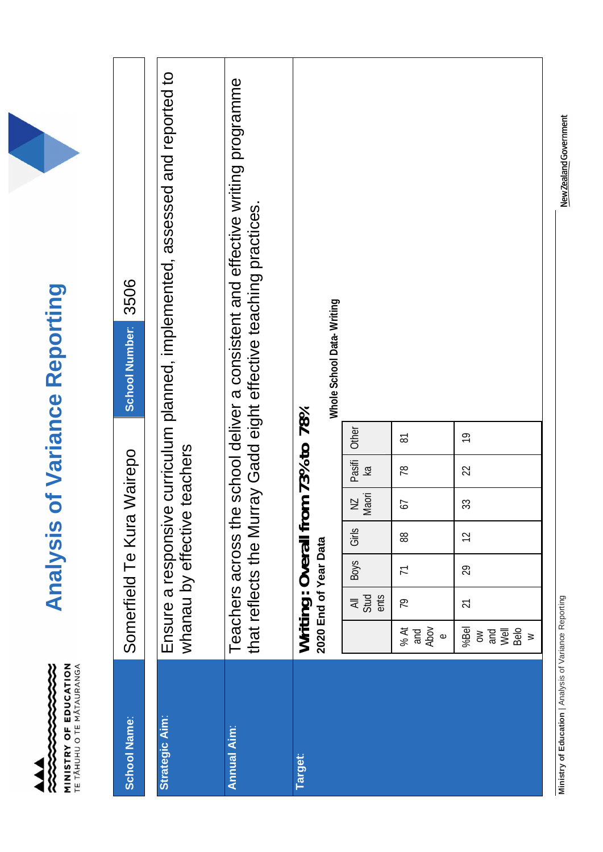**MINISTRY OF EDUCATION**<br>TE TÂHUHU O TE MÂTAURANGA 

# **Analysis of Variance Reporting Analysis of Variance Reporting**

| <b>School Name:</b> |                                                                                                                                                                                                                                                                                                                  | Somerfield Te Kura                                        |                 |             |                                  | Wairepo                           |                | 3506<br>School Number:                                                                                                                               |
|---------------------|------------------------------------------------------------------------------------------------------------------------------------------------------------------------------------------------------------------------------------------------------------------------------------------------------------------|-----------------------------------------------------------|-----------------|-------------|----------------------------------|-----------------------------------|----------------|------------------------------------------------------------------------------------------------------------------------------------------------------|
| Strategic Aim:      |                                                                                                                                                                                                                                                                                                                  | whanau by effective<br>Ensure a responsivo                |                 |             |                                  | teachers                          |                | e curriculum planned, implemented, assessed and reported to                                                                                          |
| <b>Annual Aim:</b>  |                                                                                                                                                                                                                                                                                                                  |                                                           |                 |             |                                  |                                   |                | Teachers across the school deliver a consistent and effective writing programme<br>that reflects the Murray Gadd eight effective teaching practices. |
| <b>Target:</b>      |                                                                                                                                                                                                                                                                                                                  | Writing: Overall from 73% to 78%<br>2020 End of Year Data |                 |             |                                  |                                   |                | Whole School Data-Writing                                                                                                                            |
|                     |                                                                                                                                                                                                                                                                                                                  | $rac{1}{2}$<br>ents                                       | <b>Boys</b>     | Girls       | Maori<br>$\overline{\mathsf{N}}$ | Pasifi<br>$\overline{\mathsf{k}}$ | Other          |                                                                                                                                                      |
|                     | and<br>Abov<br>% At<br>$\Phi$                                                                                                                                                                                                                                                                                    | 79                                                        | $\overline{7}$  | 88          | 57                               | 78                                | 5              |                                                                                                                                                      |
|                     | %Bel<br>$\frac{1}{2}$<br>$\frac{1}{2}$<br>$\frac{1}{2}$<br>$\frac{1}{2}$<br>$\frac{1}{2}$<br>$\frac{1}{2}$<br>$\frac{1}{2}$<br>$\frac{1}{2}$<br><br>$\frac{1}{2}$<br><br><br><br><br><br><br><br><br><br><br><br><br><br><br><br><br><br><br><br><br><br><br><br><br><br><br><br><br><br><br><br><br>$\geqslant$ | 21                                                        | $\overline{29}$ | $\tilde{c}$ | 33                               | 22                                | $\overline{9}$ |                                                                                                                                                      |

Ministry of Education | Analysis of Variance Reporting **Ministry of Education** | Analysis of Variance Reporting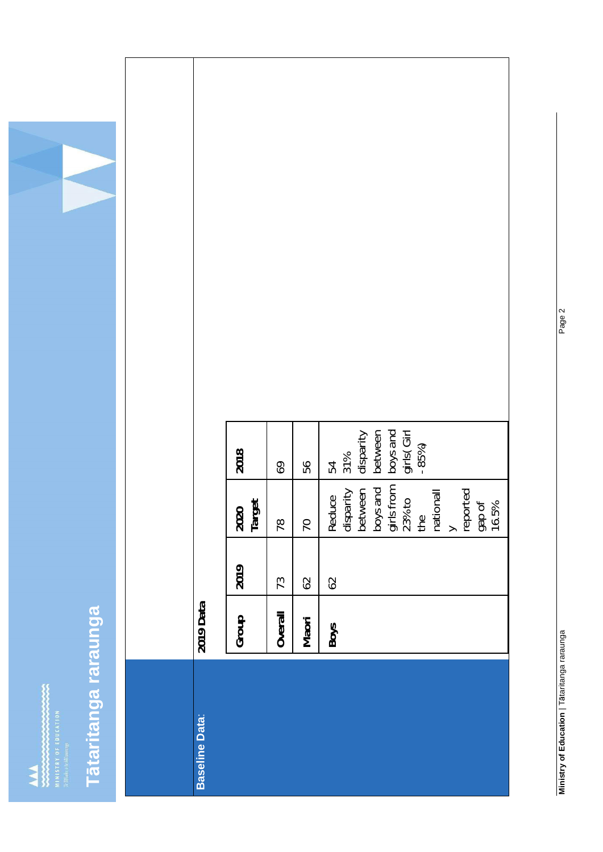# Tātaritanga raraunga **taritanga raraunga**

|  |                | 2018           | 69      | 56             | $\begin{array}{l} 54 \\ 31\% \\ \text{disparity} \\ \text{betwo-en} \\ \text{betwo-en} \\ \text{bys and} \\ \text{girls}(\text{Girl}) \\ -85\%) \end{array}$ |
|--|----------------|----------------|---------|----------------|--------------------------------------------------------------------------------------------------------------------------------------------------------------|
|  |                | 2020<br>Target | 78      | $\overline{0}$ | Reduce<br>disparity<br>between<br>boys and<br>pris from<br>23% to<br>the<br>mationall<br>y<br>gap of<br>16.5%                                                |
|  |                | 2019           | 73      | $62$           | 62                                                                                                                                                           |
|  | 2019 Data      | Group          | Overall | Maori          | Boys                                                                                                                                                         |
|  |                |                |         |                |                                                                                                                                                              |
|  | Baseline Data: |                |         |                |                                                                                                                                                              |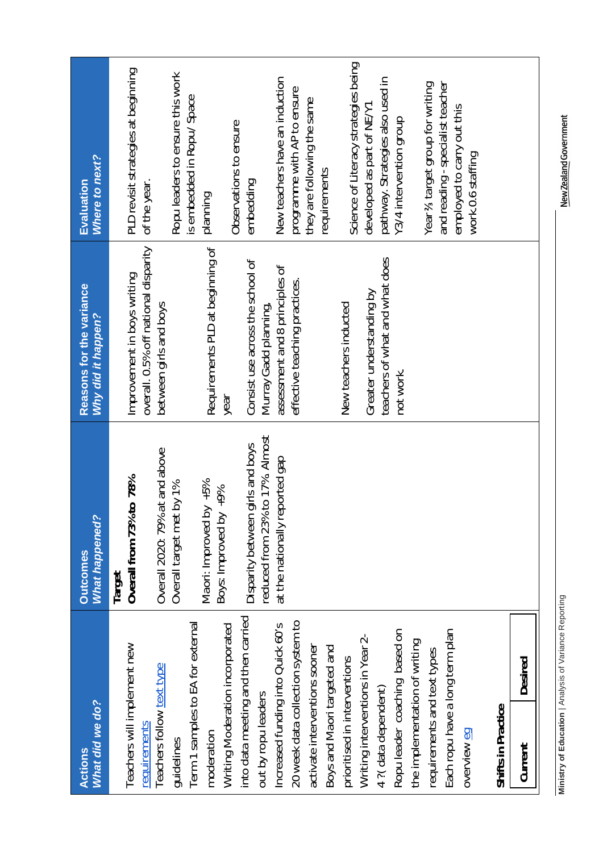| What did we do?<br>Actions                                | <b>What happened?</b><br><b>Outcomes</b>                               | Reasons for the variance<br><b>Why did it happen?</b>               | Where to next?<br>Evaluation                                   |
|-----------------------------------------------------------|------------------------------------------------------------------------|---------------------------------------------------------------------|----------------------------------------------------------------|
| Teachers will implement new<br>requirements               | Overall from 73% to 78%<br>Target                                      | overall. 0.5% off national disparity<br>Improvement in boys writing | PLD revisit strategies at beginning<br>of the year.            |
| Teachers follow text type<br>guidelines                   | at and above<br>: by 1%<br>Overall 2020: 79%<br>Overall target met     | between girls and boys                                              | Ropu leaders to ensure this work                               |
| Term 1 samples to EA for external                         |                                                                        |                                                                     | is embedded in Ropu/ Space                                     |
| moderation                                                | Maori: Improved by +5%<br>$^{66} + 10^{6}$                             | Requirements PLD at beginning of                                    | planning                                                       |
| Writing Moderation incorporated                           | Boys: Improved by                                                      | year                                                                | Observations to ensure                                         |
| into data meeting and then carried<br>out by ropu leaders | reduced from 23% to 17%. Almost<br>girls and boys<br>Disparity between | Consist use across the school of                                    | embedding                                                      |
| Increased funding into Quick 60's                         | at the nationally reported gap                                         | assessment and 8 principles of<br>Murray Gadd planning,             | New teachers have an induction                                 |
| 20 week data collection system to                         |                                                                        | effective teaching practices.                                       | programme with AP to ensure                                    |
| activate interventions sooner                             |                                                                        |                                                                     | they are following the same                                    |
| Boys and Maori targeted and                               |                                                                        |                                                                     | requirements                                                   |
| prioritised in interventions                              |                                                                        | New teachers inducted                                               | Science of Literacy strategies being                           |
| Writing interventions in Year 2-                          |                                                                        | Greater understanding by                                            | developed as part of NE/Y1                                     |
| 4 ?(data dependent)                                       |                                                                        | teachers of what and what does                                      | pathway. Strategies also used in                               |
| Ropu leader coaching based on                             |                                                                        | not work.                                                           | Y3/4 intervention group                                        |
| the implementation of writing                             |                                                                        |                                                                     |                                                                |
| requirements and text types                               |                                                                        |                                                                     | Year % target group for writing                                |
| Each ropu have a long term plan                           |                                                                        |                                                                     | and reading - specialist teacher<br>employed to carry out this |
| overview eg                                               |                                                                        |                                                                     | work.0.6 staffing                                              |
| Shifts in Practice                                        |                                                                        |                                                                     |                                                                |
| Desired<br>Current                                        |                                                                        |                                                                     |                                                                |
|                                                           |                                                                        |                                                                     |                                                                |

New Zealand Government

Ministry of Education | Analysis of Variance Reporting **Ministry of Education** | Analysis of Variance Reporting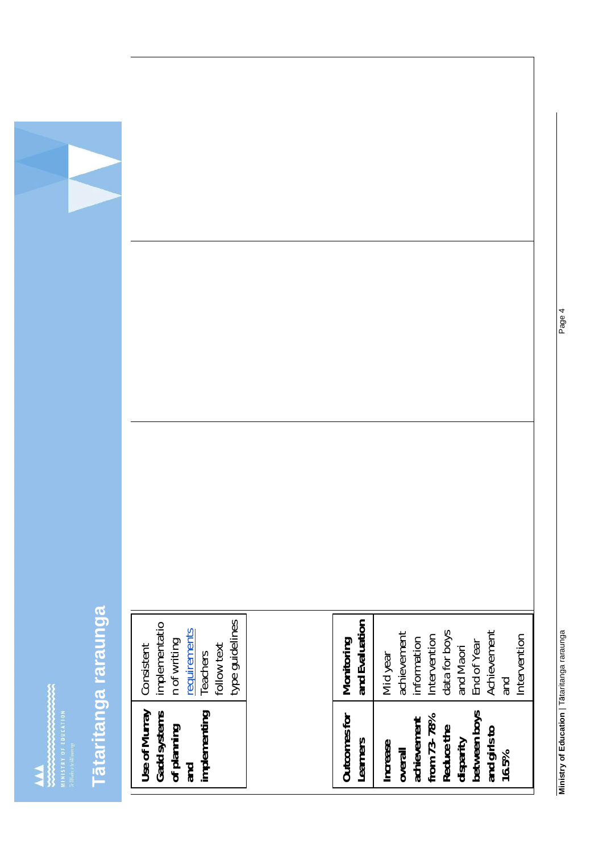$\begin{minipage}{0.5\textwidth} \begin{minipage}{0.5\textwidth} \centering \begin{tabular}{|c|c|} \hline & \multicolumn{3}{|c|}{\textwidth} \end{tabular} & \multicolumn{3}{|c|}{\textwidth} \end{minipage} \end{minipage} \begin{minipage}{0.5\textwidth} \begin{minipage}{0.5\textwidth} \centering \begin{tabular}{|c|c|} \hline & \multicolumn{3}{|c|}{\textwidth} \end{tabular} & \multicolumn{3}{|c|}{\textwidth} \end{minipage} \end{minipage} \begin{minipage}{0.5\textwidth} \centering \begin{minipage}{$ 

# Tātaritanga raraunga **taritanga raraunga**

| type guidelines<br>implementatio<br>requirements<br>n of writing<br>follow text<br>Consistent<br>Teachers | and Evaluation<br>Achievement<br>data for boys<br>achievement<br>Intervention<br>Intervention<br>information<br>Monitoring<br>End of Year<br>and Maori<br>Mid year<br>and |
|-----------------------------------------------------------------------------------------------------------|---------------------------------------------------------------------------------------------------------------------------------------------------------------------------|
| Use of Murray<br>Gadd systems<br>implementing<br>of planning<br>and                                       | between boys<br>Outcomes for<br>from 73-78%<br>achievement<br>Reduce the<br>and girls to<br>disparity<br>Learners<br><b>Increase</b><br>overall<br>16.5%                  |

**Ministry of Education** | T taritanga raraunga Page 4 Ministry of Education | Tātaritanga raraunga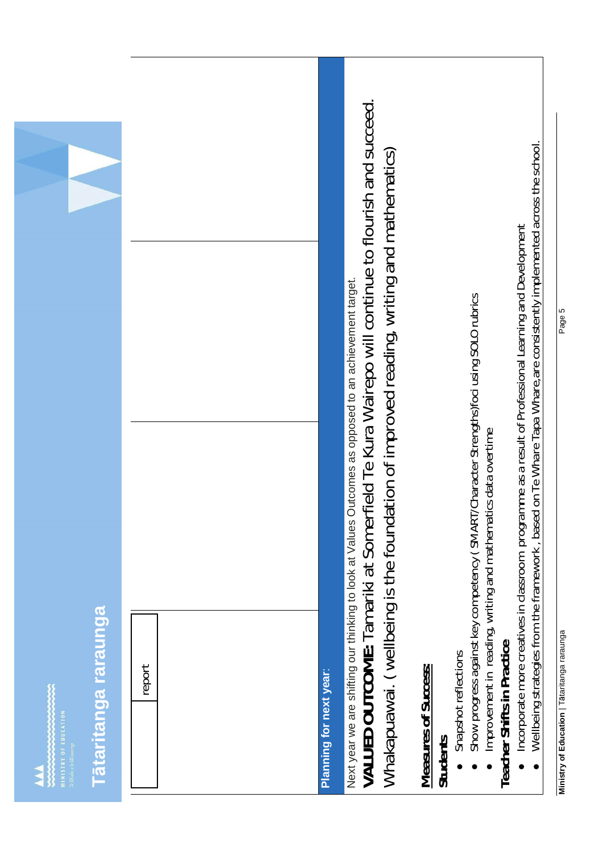|                                                             |        |                         | VALUED OUTCOME: Tamariki at Somerfield Te Kura Wairepo will continue to flourish and succeed.<br>Whakapuawai. (wellbeing is the foundation of improved reading, writing and mathematics)<br>Next year we are shifting our thinking to look at Values Outcomes as opposed to an achievement target. | on Te Whare Tapa Whare, are consistently implemented across the school.<br>Incorporate more creatives in classroom programme as a result of Professional Learning and Development<br>Show progress against key competency (SMART/Character Strengths)foci using SOLO rubrics |
|-------------------------------------------------------------|--------|-------------------------|----------------------------------------------------------------------------------------------------------------------------------------------------------------------------------------------------------------------------------------------------------------------------------------------------|------------------------------------------------------------------------------------------------------------------------------------------------------------------------------------------------------------------------------------------------------------------------------|
| <u>Tātaritanga raraunga</u><br><b>NUMISTRY OF EDUCATION</b> | report | Planning for next year: |                                                                                                                                                                                                                                                                                                    | Improvement in reading, writing and mathematics data overtime<br>Wellbeing strategies from the framework, based<br>Teacher Shifts in Practice<br>Snapshot reflections<br>Measures of Success:<br><b>Students</b><br>$\bullet$                                                |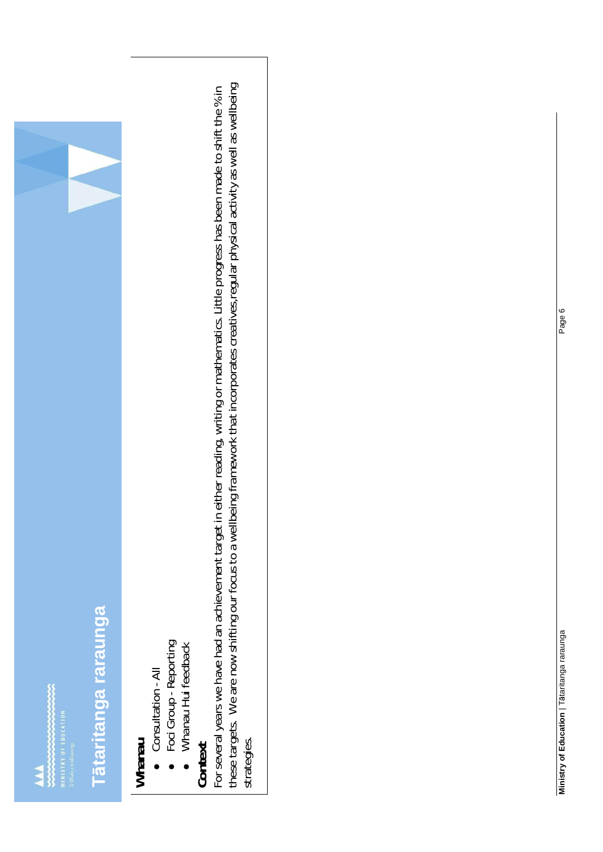

# Tataritanga raraunga **taritanga raraunga**

- **Whanau** Consultation - All
- Foci Group Reporting Foci Group - Reporting

Whanau Hui feedback • Whanau Hui feedback

these targets. We are now shifting our focus to a wellbeing framework that incorporates creatives, regular physical activity as well as wellbeing these targets. We are now shifting our focus to a wellbeing framework that incorporates creatives,regular physical activity as well as wellbeing Context<br>For several years we have had an achievement target in either reading, writing or mathematics. Little progress has been made to shift the % in For several years we have had an achievement target in either reading, writing or mathematics. Little progress has been made to shift the % in strategies.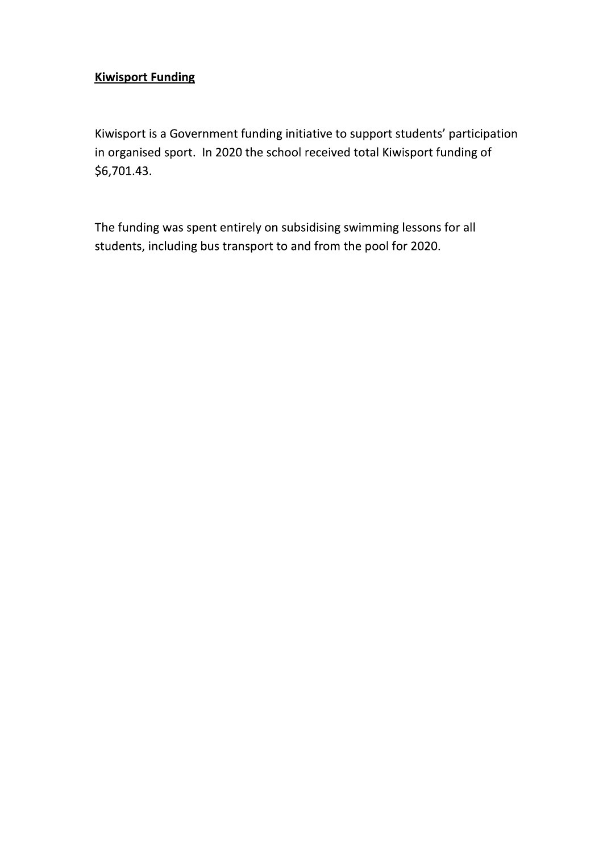#### **Kiwisport Funding**

Kiwisport is a Government funding initiative to support students' participation in organised sport. In 2020 the school received total Kiwisport funding of \$6,701.43.

The funding was spent entirely on subsidising swimming lessons for all students, including bus transport to and from the pool for 2020.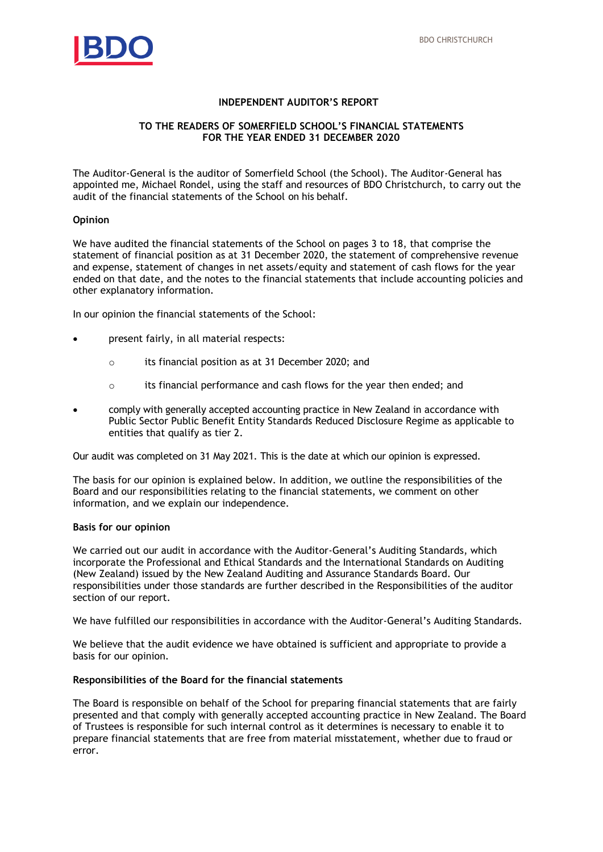

#### **INDEPENDENT AUDITOR'S REPORT**

#### **TO THE READERS OF SOMERFIELD SCHOOL'S FINANCIAL STATEMENTS FOR THE YEAR ENDED 31 DECEMBER 2020**

The Auditor-General is the auditor of Somerfield School (the School). The Auditor-General has appointed me, Michael Rondel, using the staff and resources of BDO Christchurch, to carry out the audit of the financial statements of the School on his behalf.

#### **Opinion**

We have audited the financial statements of the School on pages 3 to 18, that comprise the statement of financial position as at 31 December 2020, the statement of comprehensive revenue and expense, statement of changes in net assets/equity and statement of cash flows for the year ended on that date, and the notes to the financial statements that include accounting policies and other explanatory information.

In our opinion the financial statements of the School:

- present fairly, in all material respects:
	- o its financial position as at 31 December 2020; and
	- $\circ$  its financial performance and cash flows for the year then ended; and
- comply with generally accepted accounting practice in New Zealand in accordance with Public Sector Public Benefit Entity Standards Reduced Disclosure Regime as applicable to entities that qualify as tier 2.

Our audit was completed on 31 May 2021. This is the date at which our opinion is expressed.

The basis for our opinion is explained below. In addition, we outline the responsibilities of the Board and our responsibilities relating to the financial statements, we comment on other information, and we explain our independence.

#### **Basis for our opinion**

We carried out our audit in accordance with the Auditor-General's Auditing Standards, which incorporate the Professional and Ethical Standards and the International Standards on Auditing (New Zealand) issued by the New Zealand Auditing and Assurance Standards Board. Our responsibilities under those standards are further described in the Responsibilities of the auditor section of our report.

We have fulfilled our responsibilities in accordance with the Auditor-General's Auditing Standards.

We believe that the audit evidence we have obtained is sufficient and appropriate to provide a basis for our opinion.

#### **Responsibilities of the Board for the financial statements**

The Board is responsible on behalf of the School for preparing financial statements that are fairly presented and that comply with generally accepted accounting practice in New Zealand. The Board of Trustees is responsible for such internal control as it determines is necessary to enable it to prepare financial statements that are free from material misstatement, whether due to fraud or error.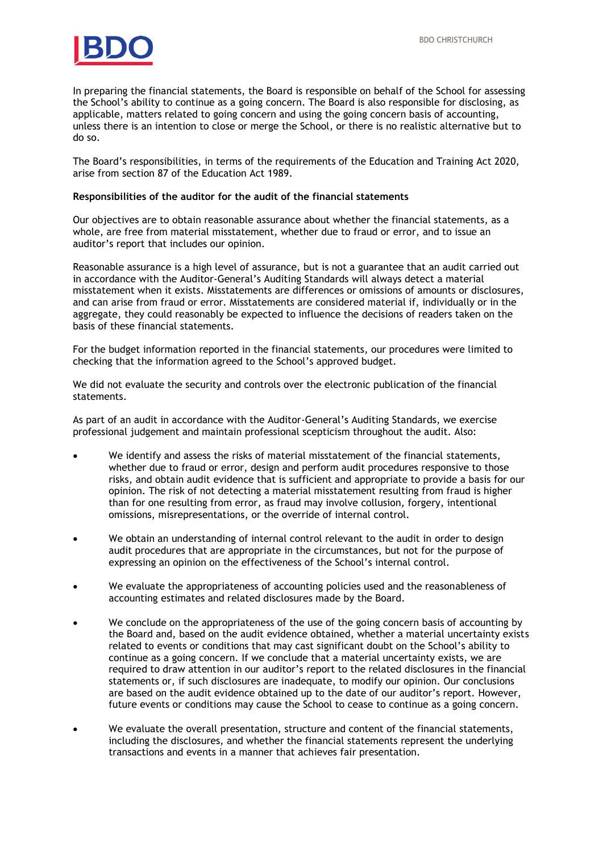

In preparing the financial statements, the Board is responsible on behalf of the School for assessing the School's ability to continue as a going concern. The Board is also responsible for disclosing, as applicable, matters related to going concern and using the going concern basis of accounting, unless there is an intention to close or merge the School, or there is no realistic alternative but to do so.

The Board's responsibilities, in terms of the requirements of the Education and Training Act 2020, arise from section 87 of the Education Act 1989.

#### **Responsibilities of the auditor for the audit of the financial statements**

Our objectives are to obtain reasonable assurance about whether the financial statements, as a whole, are free from material misstatement, whether due to fraud or error, and to issue an auditor's report that includes our opinion.

Reasonable assurance is a high level of assurance, but is not a guarantee that an audit carried out in accordance with the Auditor-General's Auditing Standards will always detect a material misstatement when it exists. Misstatements are differences or omissions of amounts or disclosures, and can arise from fraud or error. Misstatements are considered material if, individually or in the aggregate, they could reasonably be expected to influence the decisions of readers taken on the basis of these financial statements.

For the budget information reported in the financial statements, our procedures were limited to checking that the information agreed to the School's approved budget.

We did not evaluate the security and controls over the electronic publication of the financial statements.

As part of an audit in accordance with the Auditor-General's Auditing Standards, we exercise professional judgement and maintain professional scepticism throughout the audit. Also:

- We identify and assess the risks of material misstatement of the financial statements, whether due to fraud or error, design and perform audit procedures responsive to those risks, and obtain audit evidence that is sufficient and appropriate to provide a basis for our opinion. The risk of not detecting a material misstatement resulting from fraud is higher than for one resulting from error, as fraud may involve collusion, forgery, intentional omissions, misrepresentations, or the override of internal control.
- We obtain an understanding of internal control relevant to the audit in order to design audit procedures that are appropriate in the circumstances, but not for the purpose of expressing an opinion on the effectiveness of the School's internal control.
- We evaluate the appropriateness of accounting policies used and the reasonableness of accounting estimates and related disclosures made by the Board.
- We conclude on the appropriateness of the use of the going concern basis of accounting by the Board and, based on the audit evidence obtained, whether a material uncertainty exists related to events or conditions that may cast significant doubt on the School's ability to continue as a going concern. If we conclude that a material uncertainty exists, we are required to draw attention in our auditor's report to the related disclosures in the financial statements or, if such disclosures are inadequate, to modify our opinion. Our conclusions are based on the audit evidence obtained up to the date of our auditor's report. However, future events or conditions may cause the School to cease to continue as a going concern.
- We evaluate the overall presentation, structure and content of the financial statements, including the disclosures, and whether the financial statements represent the underlying transactions and events in a manner that achieves fair presentation.